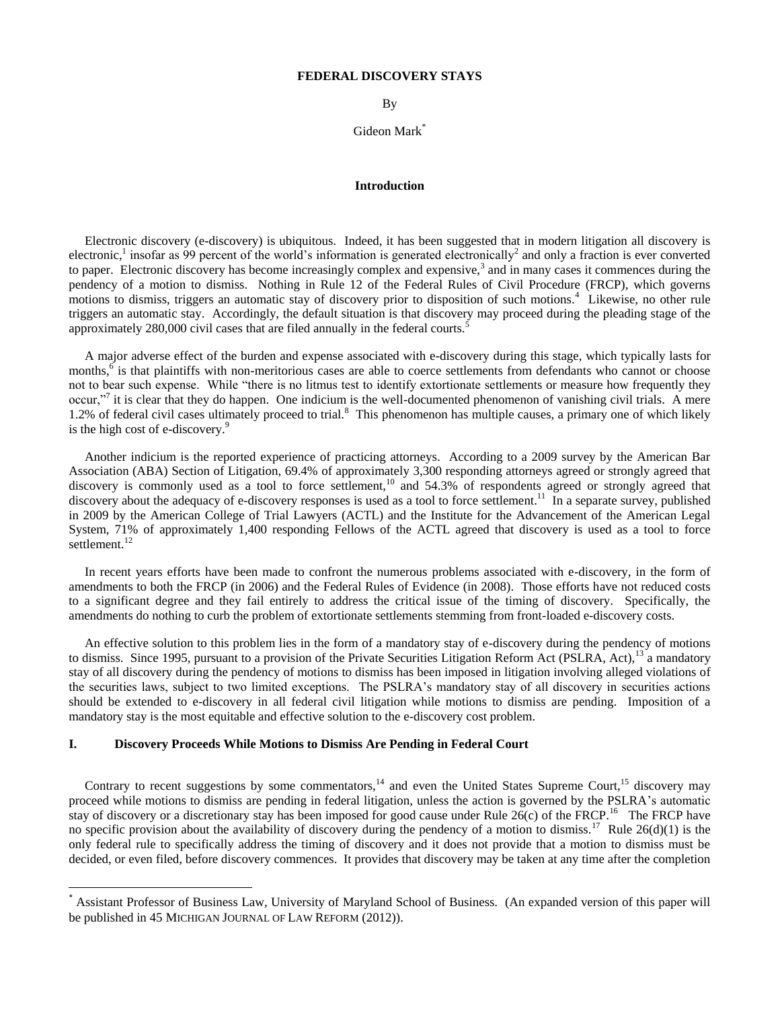## **FEDERAL DISCOVERY STAYS**

By

Gideon Mark<sup>\*</sup>

## **Introduction**

 Electronic discovery (e-discovery) is ubiquitous. Indeed, it has been suggested that in modern litigation all discovery is electronic,<sup>1</sup> insofar as 99 percent of the world's information is generated electronically<sup>2</sup> and only a fraction is ever converted to paper. Electronic discovery has become increasingly complex and expensive, $3$  and in many cases it commences during the pendency of a motion to dismiss. Nothing in Rule 12 of the Federal Rules of Civil Procedure (FRCP), which governs motions to dismiss, triggers an automatic stay of discovery prior to disposition of such motions.<sup>4</sup> Likewise, no other rule triggers an automatic stay. Accordingly, the default situation is that discovery may proceed during the pleading stage of the approximately 280,000 civil cases that are filed annually in the federal courts.<sup>5</sup>

 A major adverse effect of the burden and expense associated with e-discovery during this stage, which typically lasts for months, $\overset{6}{\circ}$  is that plaintiffs with non-meritorious cases are able to coerce settlements from defendants who cannot or choose not to bear such expense. While "there is no litmus test to identify extortionate settlements or measure how frequently they occur,"<sup>7</sup> it is clear that they do happen. One indicium is the well-documented phenomenon of vanishing civil trials. A mere 1.2% of federal civil cases ultimately proceed to trial.<sup>8</sup> This phenomenon has multiple causes, a primary one of which likely is the high cost of e-discovery. $9$ 

 Another indicium is the reported experience of practicing attorneys. According to a 2009 survey by the American Bar Association (ABA) Section of Litigation, 69.4% of approximately 3,300 responding attorneys agreed or strongly agreed that discovery is commonly used as a tool to force settlement,<sup>10</sup> and 54.3% of respondents agreed or strongly agreed that discovery about the adequacy of e-discovery responses is used as a tool to force settlement.<sup>11</sup> In a separate survey, published in 2009 by the American College of Trial Lawyers (ACTL) and the Institute for the Advancement of the American Legal System, 71% of approximately 1,400 responding Fellows of the ACTL agreed that discovery is used as a tool to force settlement.<sup>12</sup>

 In recent years efforts have been made to confront the numerous problems associated with e-discovery, in the form of amendments to both the FRCP (in 2006) and the Federal Rules of Evidence (in 2008). Those efforts have not reduced costs to a significant degree and they fail entirely to address the critical issue of the timing of discovery. Specifically, the amendments do nothing to curb the problem of extortionate settlements stemming from front-loaded e-discovery costs.

 An effective solution to this problem lies in the form of a mandatory stay of e-discovery during the pendency of motions to dismiss. Since 1995, pursuant to a provision of the Private Securities Litigation Reform Act (PSLRA, Act),<sup>13</sup> a mandatory stay of all discovery during the pendency of motions to dismiss has been imposed in litigation involving alleged violations of the securities laws, subject to two limited exceptions. The PSLRA's mandatory stay of all discovery in securities actions should be extended to e-discovery in all federal civil litigation while motions to dismiss are pending. Imposition of a mandatory stay is the most equitable and effective solution to the e-discovery cost problem.

# **I. Discovery Proceeds While Motions to Dismiss Are Pending in Federal Court**

 $\overline{\phantom{a}}$ 

Contrary to recent suggestions by some commentators, $14$  and even the United States Supreme Court,  $15$  discovery may proceed while motions to dismiss are pending in federal litigation, unless the action is governed by the PSLRA's automatic stay of discovery or a discretionary stay has been imposed for good cause under Rule  $26(c)$  of the FRCP.<sup>16</sup> The FRCP have no specific provision about the availability of discovery during the pendency of a motion to dismiss.<sup>17</sup> Rule  $26(d)(1)$  is the only federal rule to specifically address the timing of discovery and it does not provide that a motion to dismiss must be decided, or even filed, before discovery commences. It provides that discovery may be taken at any time after the completion

<sup>\*</sup> Assistant Professor of Business Law, University of Maryland School of Business. (An expanded version of this paper will be published in 45 MICHIGAN JOURNAL OF LAW REFORM (2012)).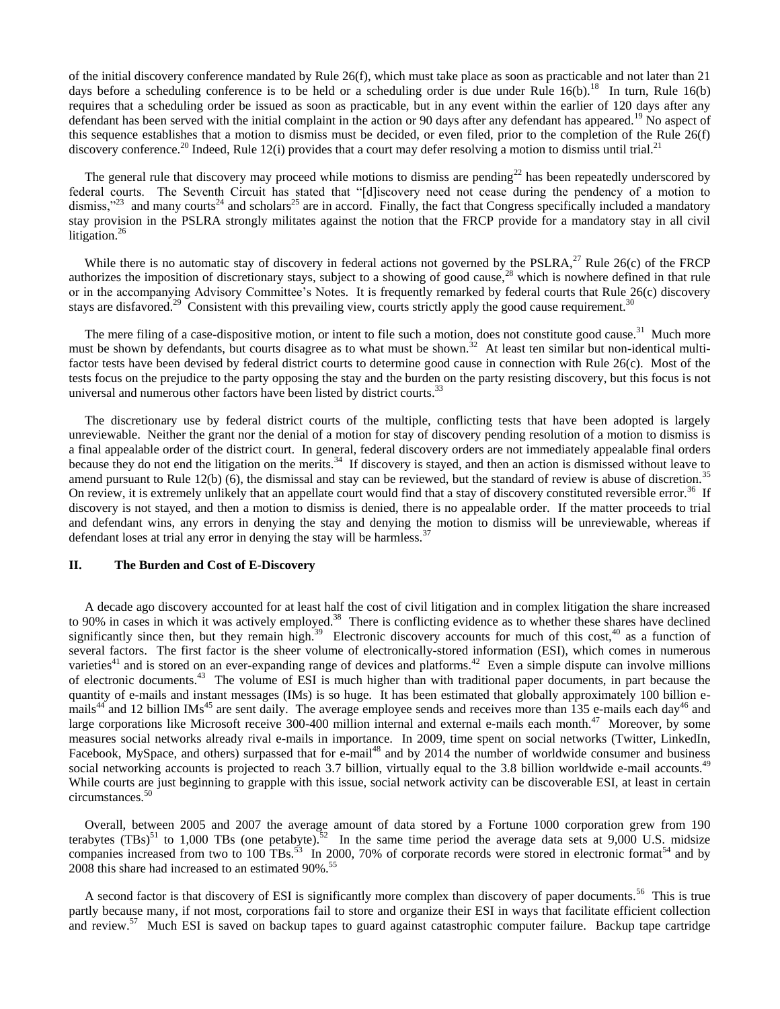of the initial discovery conference mandated by Rule 26(f), which must take place as soon as practicable and not later than 21 days before a scheduling conference is to be held or a scheduling order is due under Rule  $16(b)$ .<sup>18</sup> In turn, Rule  $16(b)$ requires that a scheduling order be issued as soon as practicable, but in any event within the earlier of 120 days after any defendant has been served with the initial complaint in the action or 90 days after any defendant has appeared.<sup>19</sup> No aspect of this sequence establishes that a motion to dismiss must be decided, or even filed, prior to the completion of the Rule 26(f) discovery conference.<sup>20</sup> Indeed, Rule 12(i) provides that a court may defer resolving a motion to dismiss until trial.<sup>21</sup>

The general rule that discovery may proceed while motions to dismiss are pending<sup>22</sup> has been repeatedly underscored by federal courts. The Seventh Circuit has stated that "[d]iscovery need not cease during the pendency of a motion to dismiss,"<sup>23</sup> and many courts<sup>24</sup> and scholars<sup>25</sup> are in accord. Finally, the fact that Congress specifically included a mandatory stay provision in the PSLRA strongly militates against the notion that the FRCP provide for a mandatory stay in all civil litigation.<sup>26</sup>

While there is no automatic stay of discovery in federal actions not governed by the PSLRA,<sup>27</sup> Rule 26(c) of the FRCP authorizes the imposition of discretionary stays, subject to a showing of good cause,<sup>28</sup> which is nowhere defined in that rule or in the accompanying Advisory Committee's Notes. It is frequently remarked by federal courts that Rule 26(c) discovery stays are disfavored.<sup>29</sup> Consistent with this prevailing view, courts strictly apply the good cause requirement.<sup>30</sup>

The mere filing of a case-dispositive motion, or intent to file such a motion, does not constitute good cause.<sup>31</sup> Much more must be shown by defendants, but courts disagree as to what must be shown.<sup>32</sup> At least ten similar but non-identical multifactor tests have been devised by federal district courts to determine good cause in connection with Rule 26(c). Most of the tests focus on the prejudice to the party opposing the stay and the burden on the party resisting discovery, but this focus is not universal and numerous other factors have been listed by district courts.<sup>33</sup>

 The discretionary use by federal district courts of the multiple, conflicting tests that have been adopted is largely unreviewable. Neither the grant nor the denial of a motion for stay of discovery pending resolution of a motion to dismiss is a final appealable order of the district court. In general, federal discovery orders are not immediately appealable final orders because they do not end the litigation on the merits.<sup>34</sup> If discovery is stayed, and then an action is dismissed without leave to amend pursuant to Rule  $12(b)$  (6), the dismissal and stay can be reviewed, but the standard of review is abuse of discretion.<sup>35</sup> On review, it is extremely unlikely that an appellate court would find that a stay of discovery constituted reversible error.<sup>36</sup> If discovery is not stayed, and then a motion to dismiss is denied, there is no appealable order. If the matter proceeds to trial and defendant wins, any errors in denying the stay and denying the motion to dismiss will be unreviewable, whereas if defendant loses at trial any error in denying the stay will be harmless.<sup>37</sup>

# **II. The Burden and Cost of E-Discovery**

A decade ago discovery accounted for at least half the cost of civil litigation and in complex litigation the share increased to 90% in cases in which it was actively employed.<sup>38</sup> There is conflicting evidence as to whether these shares have declined significantly since then, but they remain high.<sup>39</sup> Electronic discovery accounts for much of this cost,<sup>40</sup> as a function of several factors. The first factor is the sheer volume of electronically-stored information (ESI), which comes in numerous varieties<sup>41</sup> and is stored on an ever-expanding range of devices and platforms.<sup>42</sup> Even a simple dispute can involve millions of electronic documents.<sup>43</sup> The volume of ESI is much higher than with traditional paper documents, in part because the quantity of e-mails and instant messages (IMs) is so huge. It has been estimated that globally approximately 100 billion emails<sup>44</sup> and 12 billion IMs<sup>45</sup> are sent daily. The average employee sends and receives more than 135 e-mails each day<sup>46</sup> and large corporations like Microsoft receive 300-400 million internal and external e-mails each month.<sup>47</sup> Moreover, by some measures social networks already rival e-mails in importance. In 2009, time spent on social networks (Twitter, LinkedIn, Facebook, MySpace, and others) surpassed that for e-mail<sup>48</sup> and by 2014 the number of worldwide consumer and business social networking accounts is projected to reach 3.7 billion, virtually equal to the 3.8 billion worldwide e-mail accounts.<sup>49</sup> While courts are just beginning to grapple with this issue, social network activity can be discoverable ESI, at least in certain circumstances.<sup>50</sup>

 Overall, between 2005 and 2007 the average amount of data stored by a Fortune 1000 corporation grew from 190 terabytes  $(TBs)^{51}$  to 1,000 TBs (one petabyte).<sup>52</sup> In the same time period the average data sets at 9,000 U.S. midsize companies increased from two to 100 TBs.<sup>53</sup> In 2000, 70% of corporate records were stored in electronic format<sup>54</sup> and by 2008 this share had increased to an estimated 90%.<sup>55</sup>

A second factor is that discovery of ESI is significantly more complex than discovery of paper documents.<sup>56</sup> This is true partly because many, if not most, corporations fail to store and organize their ESI in ways that facilitate efficient collection and review.<sup>57</sup> Much ESI is saved on backup tapes to guard against catastrophic computer failure. Backup tape cartridge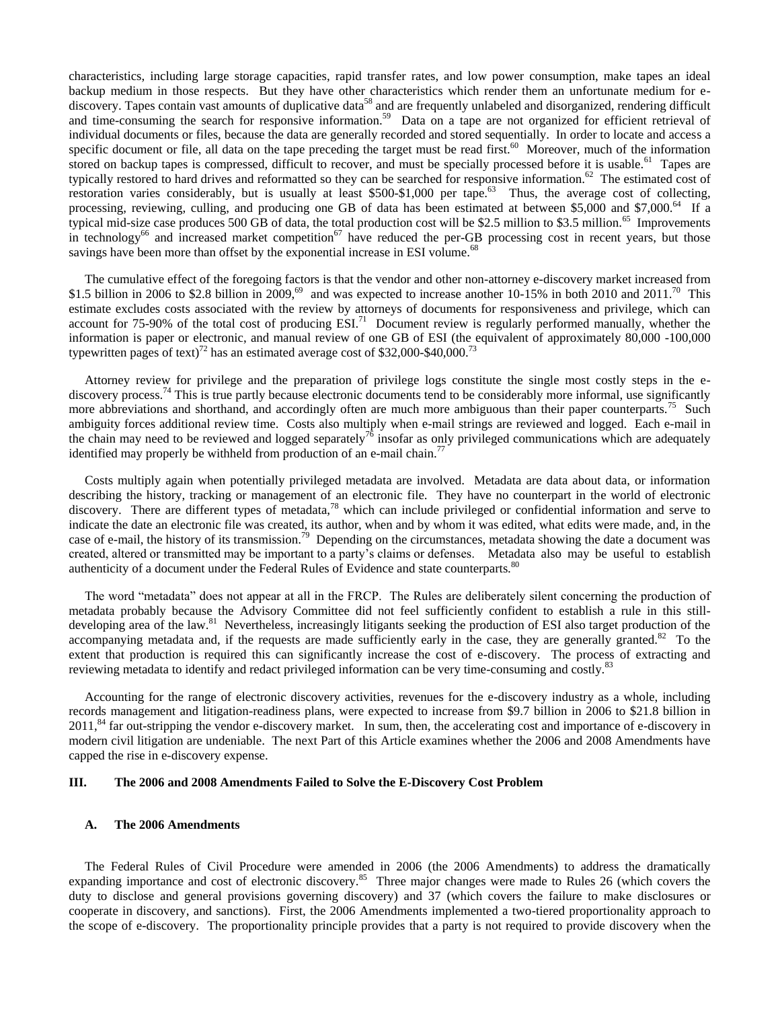characteristics, including large storage capacities, rapid transfer rates, and low power consumption, make tapes an ideal backup medium in those respects. But they have other characteristics which render them an unfortunate medium for ediscovery. Tapes contain vast amounts of duplicative data<sup>58</sup> and are frequently unlabeled and disorganized, rendering difficult and time-consuming the search for responsive information.<sup>59</sup> Data on a tape are not organized for efficient retrieval of individual documents or files, because the data are generally recorded and stored sequentially. In order to locate and access a specific document or file, all data on the tape preceding the target must be read first.<sup>60</sup> Moreover, much of the information stored on backup tapes is compressed, difficult to recover, and must be specially processed before it is usable.<sup>61</sup> Tapes are typically restored to hard drives and reformatted so they can be searched for responsive information.<sup>62</sup> The estimated cost of restoration varies considerably, but is usually at least \$500-\$1,000 per tape.<sup>63</sup> Thus, the average cost of collecting, processing, reviewing, culling, and producing one GB of data has been estimated at between \$5,000 and \$7,000.<sup>64</sup> If a typical mid-size case produces  $500$  GB of data, the total production cost will be \$2.5 million to \$3.5 million.<sup>65</sup> Improvements in technology<sup>66</sup> and increased market competition<sup>67</sup> have reduced the per-GB processing cost in recent years, but those savings have been more than offset by the exponential increase in ESI volume.<sup>68</sup>

 The cumulative effect of the foregoing factors is that the vendor and other non-attorney e-discovery market increased from \$1.5 billion in 2006 to \$2.8 billion in 2009,<sup>69</sup> and was expected to increase another 10-15% in both 2010 and 2011.<sup>70</sup> This estimate excludes costs associated with the review by attorneys of documents for responsiveness and privilege, which can account for 75-90% of the total cost of producing  $ESI<sup>71</sup>$  Document review is regularly performed manually, whether the information is paper or electronic, and manual review of one GB of ESI (the equivalent of approximately 80,000 -100,000 typewritten pages of text)<sup>72</sup> has an estimated average cost of \$32,000-\$40,000.<sup>73</sup>

 Attorney review for privilege and the preparation of privilege logs constitute the single most costly steps in the ediscovery process.<sup>74</sup> This is true partly because electronic documents tend to be considerably more informal, use significantly more abbreviations and shorthand, and accordingly often are much more ambiguous than their paper counterparts.<sup>75</sup> Such ambiguity forces additional review time. Costs also multiply when e-mail strings are reviewed and logged. Each e-mail in the chain may need to be reviewed and logged separately<sup>76</sup> insofar as only privileged communications which are adequately identified may properly be withheld from production of an e-mail chain.<sup>7</sup>

 Costs multiply again when potentially privileged metadata are involved. Metadata are data about data, or information describing the history, tracking or management of an electronic file. They have no counterpart in the world of electronic discovery. There are different types of metadata,<sup>78</sup> which can include privileged or confidential information and serve to indicate the date an electronic file was created, its author, when and by whom it was edited, what edits were made, and, in the case of e-mail, the history of its transmission.<sup>79</sup> Depending on the circumstances, metadata showing the date a document was created, altered or transmitted may be important to a party's claims or defenses. Metadata also may be useful to establish authenticity of a document under the Federal Rules of Evidence and state counterparts.<sup>80</sup>

The word "metadata" does not appear at all in the FRCP. The Rules are deliberately silent concerning the production of metadata probably because the Advisory Committee did not feel sufficiently confident to establish a rule in this stilldeveloping area of the law.<sup>81</sup> Nevertheless, increasingly litigants seeking the production of ESI also target production of the accompanying metadata and, if the requests are made sufficiently early in the case, they are generally granted.<sup>82</sup> To the extent that production is required this can significantly increase the cost of e-discovery. The process of extracting and reviewing metadata to identify and redact privileged information can be very time-consuming and costly.<sup>8</sup>

 Accounting for the range of electronic discovery activities, revenues for the e-discovery industry as a whole, including records management and litigation-readiness plans, were expected to increase from \$9.7 billion in 2006 to \$21.8 billion in 2011,<sup>84</sup> far out-stripping the vendor e-discovery market. In sum, then, the accelerating cost and importance of e-discovery in modern civil litigation are undeniable. The next Part of this Article examines whether the 2006 and 2008 Amendments have capped the rise in e-discovery expense.

# **III. The 2006 and 2008 Amendments Failed to Solve the E-Discovery Cost Problem**

## **A. The 2006 Amendments**

The Federal Rules of Civil Procedure were amended in 2006 (the 2006 Amendments) to address the dramatically expanding importance and cost of electronic discovery.<sup>85</sup> Three major changes were made to Rules 26 (which covers the duty to disclose and general provisions governing discovery) and 37 (which covers the failure to make disclosures or cooperate in discovery, and sanctions). First, the 2006 Amendments implemented a two-tiered proportionality approach to the scope of e-discovery. The proportionality principle provides that a party is not required to provide discovery when the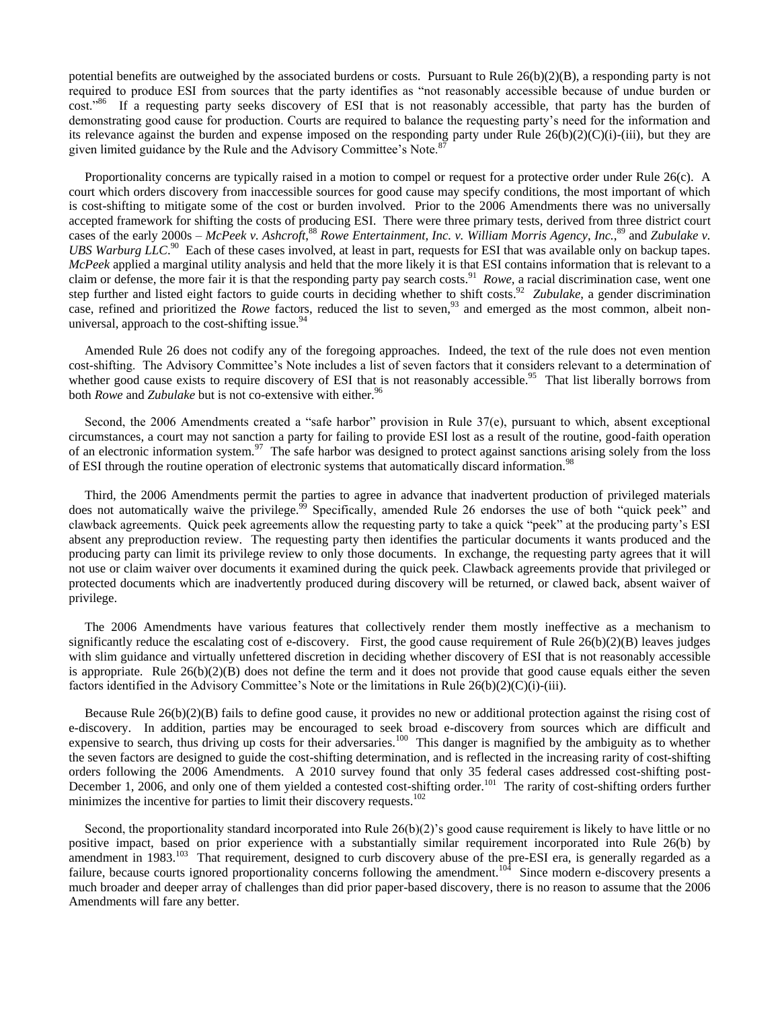potential benefits are outweighed by the associated burdens or costs. Pursuant to Rule 26(b)(2)(B), a responding party is not required to produce ESI from sources that the party identifies as "not reasonably accessible because of undue burden or cost.<sup>86</sup> If a requesting party seeks discovery of ESI that is not reasonably accessible, that party has the burden of demonstrating good cause for production. Courts are required to balance the requesting party's need for the information and its relevance against the burden and expense imposed on the responding party under Rule 26(b)(2)(C)(i)-(iii), but they are given limited guidance by the Rule and the Advisory Committee's Note.<sup>8</sup>

 Proportionality concerns are typically raised in a motion to compel or request for a protective order under Rule 26(c). A court which orders discovery from inaccessible sources for good cause may specify conditions, the most important of which is cost-shifting to mitigate some of the cost or burden involved. Prior to the 2006 Amendments there was no universally accepted framework for shifting the costs of producing ESI. There were three primary tests, derived from three district court cases of the early 2000s – McPeek v. Ashcroft,<sup>88</sup> Rowe Entertainment, Inc. v. William Morris Agency, Inc.,<sup>89</sup> and Zubulake v. UBS Warburg LLC.<sup>90</sup> Each of these cases involved, at least in part, requests for ESI that was available only on backup tapes. *McPeek* applied a marginal utility analysis and held that the more likely it is that ESI contains information that is relevant to a claim or defense, the more fair it is that the responding party pay search costs.<sup>91</sup> Rowe, a racial discrimination case, went one step further and listed eight factors to guide courts in deciding whether to shift costs.<sup>92</sup> Zubulake, a gender discrimination case, refined and prioritized the *Rowe* factors, reduced the list to seven,<sup>93</sup> and emerged as the most common, albeit nonuniversal, approach to the cost-shifting issue. $94$ 

 Amended Rule 26 does not codify any of the foregoing approaches. Indeed, the text of the rule does not even mention cost-shifting. The Advisory Committee's Note includes a list of seven factors that it considers relevant to a determination of whether good cause exists to require discovery of ESI that is not reasonably accessible.<sup>95</sup> That list liberally borrows from both *Rowe* and *Zubulake* but is not co-extensive with either.<sup>96</sup>

Second, the 2006 Amendments created a "safe harbor" provision in Rule 37(e), pursuant to which, absent exceptional circumstances, a court may not sanction a party for failing to provide ESI lost as a result of the routine, good-faith operation of an electronic information system.<sup>97</sup> The safe harbor was designed to protect against sanctions arising solely from the loss of ESI through the routine operation of electronic systems that automatically discard information.<sup>98</sup>

 Third, the 2006 Amendments permit the parties to agree in advance that inadvertent production of privileged materials does not automatically waive the privilege.<sup>99</sup> Specifically, amended Rule 26 endorses the use of both "quick peek" and clawback agreements. Quick peek agreements allow the requesting party to take a quick "peek" at the producing party's ESI absent any preproduction review. The requesting party then identifies the particular documents it wants produced and the producing party can limit its privilege review to only those documents. In exchange, the requesting party agrees that it will not use or claim waiver over documents it examined during the quick peek. Clawback agreements provide that privileged or protected documents which are inadvertently produced during discovery will be returned, or clawed back, absent waiver of privilege.

 The 2006 Amendments have various features that collectively render them mostly ineffective as a mechanism to significantly reduce the escalating cost of e-discovery. First, the good cause requirement of Rule  $26(b)(2)(B)$  leaves judges with slim guidance and virtually unfettered discretion in deciding whether discovery of ESI that is not reasonably accessible is appropriate. Rule  $26(b)(2)(B)$  does not define the term and it does not provide that good cause equals either the seven factors identified in the Advisory Committee's Note or the limitations in Rule 26(b)(2)(C)(i)-(iii).

 Because Rule 26(b)(2)(B) fails to define good cause, it provides no new or additional protection against the rising cost of e-discovery. In addition, parties may be encouraged to seek broad e-discovery from sources which are difficult and expensive to search, thus driving up costs for their adversaries.<sup>100</sup> This danger is magnified by the ambiguity as to whether the seven factors are designed to guide the cost-shifting determination, and is reflected in the increasing rarity of cost-shifting orders following the 2006 Amendments. A 2010 survey found that only 35 federal cases addressed cost-shifting post-December 1, 2006, and only one of them yielded a contested cost-shifting order.<sup>101</sup> The rarity of cost-shifting orders further minimizes the incentive for parties to limit their discovery requests.<sup>102</sup>

 Second, the proportionality standard incorporated into Rule 26(b)(2)'s good cause requirement is likely to have little or no positive impact, based on prior experience with a substantially similar requirement incorporated into Rule 26(b) by amendment in 1983.<sup>103</sup> That requirement, designed to curb discovery abuse of the pre-ESI era, is generally regarded as a failure, because courts ignored proportionality concerns following the amendment.<sup>104</sup> Since modern e-discovery presents a much broader and deeper array of challenges than did prior paper-based discovery, there is no reason to assume that the 2006 Amendments will fare any better.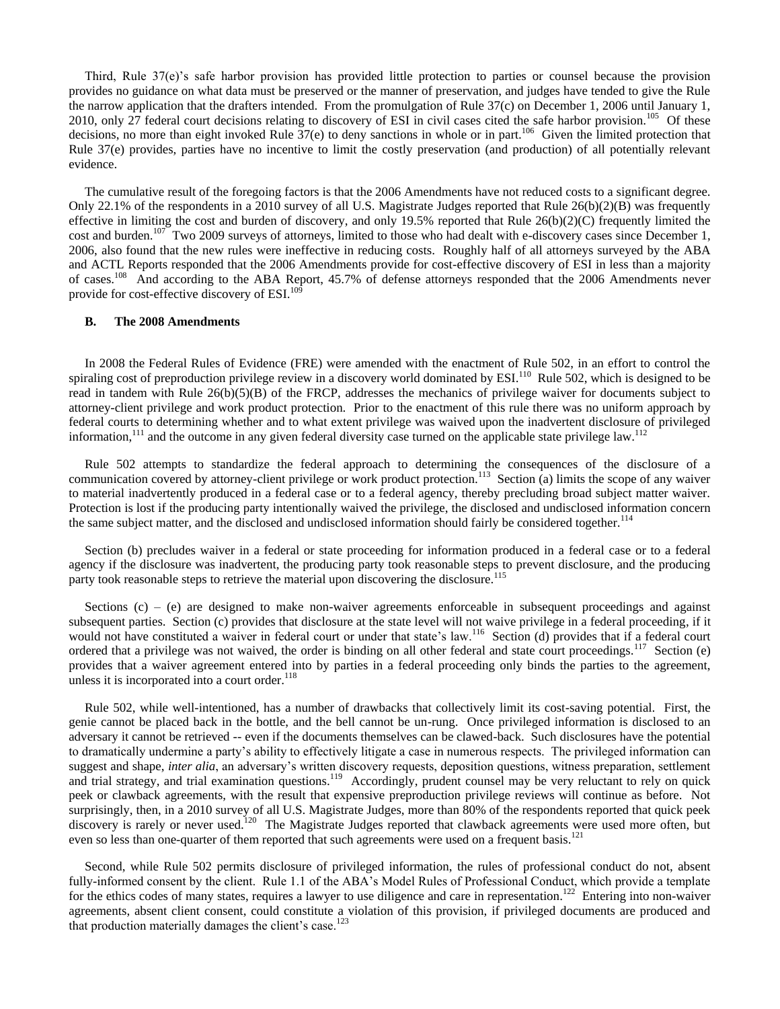Third, Rule 37(e)'s safe harbor provision has provided little protection to parties or counsel because the provision provides no guidance on what data must be preserved or the manner of preservation, and judges have tended to give the Rule the narrow application that the drafters intended. From the promulgation of Rule 37(c) on December 1, 2006 until January 1, 2010, only 27 federal court decisions relating to discovery of ESI in civil cases cited the safe harbor provision.<sup>105</sup> Of these decisions, no more than eight invoked Rule  $37(e)$  to deny sanctions in whole or in part.<sup>106</sup> Given the limited protection that Rule 37(e) provides, parties have no incentive to limit the costly preservation (and production) of all potentially relevant evidence.

 The cumulative result of the foregoing factors is that the 2006 Amendments have not reduced costs to a significant degree. Only 22.1% of the respondents in a 2010 survey of all U.S. Magistrate Judges reported that Rule 26(b)(2)(B) was frequently effective in limiting the cost and burden of discovery, and only 19.5% reported that Rule  $26(b)(2)(C)$  frequently limited the cost and burden.<sup>107</sup> Two 2009 surveys of attorneys, limited to those who had dealt with e-discovery cases since December 1, 2006, also found that the new rules were ineffective in reducing costs. Roughly half of all attorneys surveyed by the ABA and ACTL Reports responded that the 2006 Amendments provide for cost-effective discovery of ESI in less than a majority of cases.<sup>108</sup> And according to the ABA Report, 45.7% of defense attorneys responded that the 2006 Amendments never provide for cost-effective discovery of ESI.<sup>109</sup>

# **B. The 2008 Amendments**

In 2008 the Federal Rules of Evidence (FRE) were amended with the enactment of Rule 502, in an effort to control the spiraling cost of preproduction privilege review in a discovery world dominated by  $ESI<sup>110</sup>$  Rule 502, which is designed to be read in tandem with Rule  $26(b)(5)(B)$  of the FRCP, addresses the mechanics of privilege waiver for documents subject to attorney-client privilege and work product protection.Prior to the enactment of this rule there was no uniform approach by federal courts to determining whether and to what extent privilege was waived upon the inadvertent disclosure of privileged information,  $^{111}$  and the outcome in any given federal diversity case turned on the applicable state privilege law.<sup>112</sup>

 Rule 502 attempts to standardize the federal approach to determining the consequences of the disclosure of a communication covered by attorney-client privilege or work product protection.<sup>113</sup> Section (a) limits the scope of any waiver to material inadvertently produced in a federal case or to a federal agency, thereby precluding broad subject matter waiver. Protection is lost if the producing party intentionally waived the privilege, the disclosed and undisclosed information concern the same subject matter, and the disclosed and undisclosed information should fairly be considered together.<sup>114</sup>

 Section (b) precludes waiver in a federal or state proceeding for information produced in a federal case or to a federal agency if the disclosure was inadvertent, the producing party took reasonable steps to prevent disclosure, and the producing party took reasonable steps to retrieve the material upon discovering the disclosure.<sup>115</sup>

Sections  $(c)$  – (e) are designed to make non-waiver agreements enforceable in subsequent proceedings and against subsequent parties. Section (c) provides that disclosure at the state level will not waive privilege in a federal proceeding, if it would not have constituted a waiver in federal court or under that state's law.<sup>116</sup> Section (d) provides that if a federal court ordered that a privilege was not waived, the order is binding on all other federal and state court proceedings.<sup>117</sup> Section (e) provides that a waiver agreement entered into by parties in a federal proceeding only binds the parties to the agreement, unless it is incorporated into a court order.<sup>118</sup>

 Rule 502, while well-intentioned, has a number of drawbacks that collectively limit its cost-saving potential. First, the genie cannot be placed back in the bottle, and the bell cannot be un-rung. Once privileged information is disclosed to an adversary it cannot be retrieved -- even if the documents themselves can be clawed-back. Such disclosures have the potential to dramatically undermine a party's ability to effectively litigate a case in numerous respects. The privileged information can suggest and shape, *inter alia*, an adversary's written discovery requests, deposition questions, witness preparation, settlement and trial strategy, and trial examination questions.<sup>119</sup> Accordingly, prudent counsel may be very reluctant to rely on quick peek or clawback agreements, with the result that expensive preproduction privilege reviews will continue as before. Not surprisingly, then, in a 2010 survey of all U.S. Magistrate Judges, more than 80% of the respondents reported that quick peek discovery is rarely or never used.<sup>120</sup> The Magistrate Judges reported that clawback agreements were used more often, but even so less than one-quarter of them reported that such agreements were used on a frequent basis.<sup>121</sup>

 Second, while Rule 502 permits disclosure of privileged information, the rules of professional conduct do not, absent fully-informed consent by the client. Rule 1.1 of the ABA's Model Rules of Professional Conduct, which provide a template for the ethics codes of many states, requires a lawyer to use diligence and care in representation.<sup>122</sup> Entering into non-waiver agreements, absent client consent, could constitute a violation of this provision, if privileged documents are produced and that production materially damages the client's case.<sup>123</sup>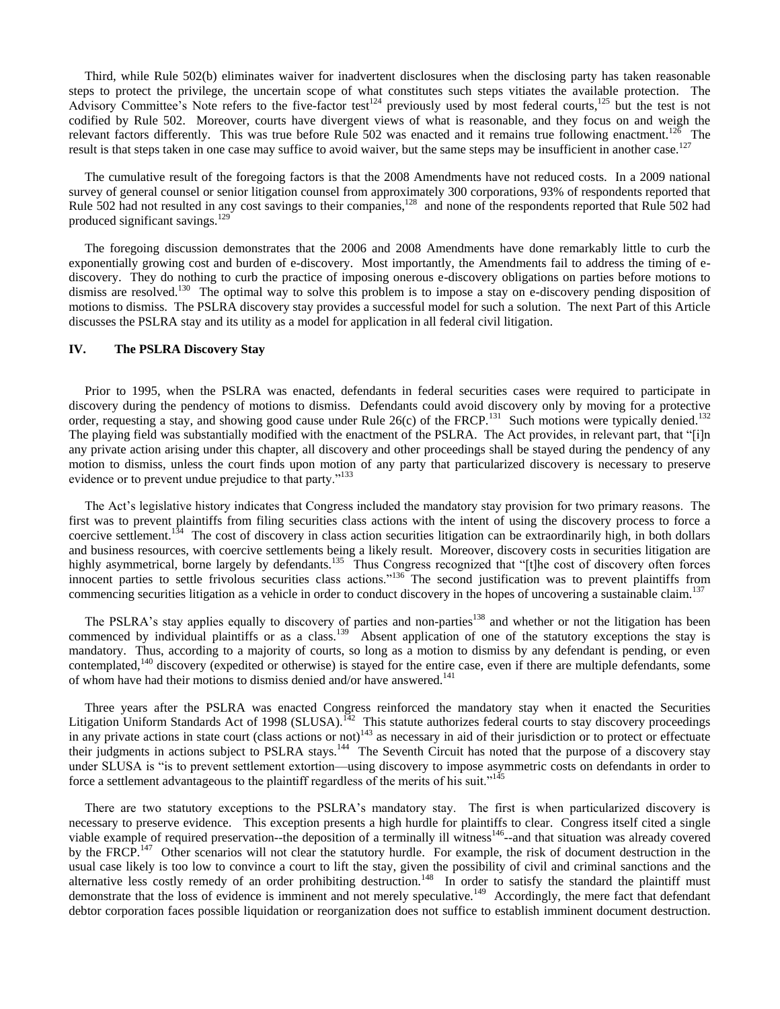Third, while Rule 502(b) eliminates waiver for inadvertent disclosures when the disclosing party has taken reasonable steps to protect the privilege, the uncertain scope of what constitutes such steps vitiates the available protection. The Advisory Committee's Note refers to the five-factor test<sup>124</sup> previously used by most federal courts,<sup>125</sup> but the test is not codified by Rule 502. Moreover, courts have divergent views of what is reasonable, and they focus on and weigh the relevant factors differently. This was true before Rule 502 was enacted and it remains true following enactment.<sup>126</sup> The result is that steps taken in one case may suffice to avoid waiver, but the same steps may be insufficient in another case.<sup>127</sup>

 The cumulative result of the foregoing factors is that the 2008 Amendments have not reduced costs. In a 2009 national survey of general counsel or senior litigation counsel from approximately 300 corporations, 93% of respondents reported that Rule 502 had not resulted in any cost savings to their companies,<sup>128</sup> and none of the respondents reported that Rule 502 had produced significant savings.<sup>129</sup>

 The foregoing discussion demonstrates that the 2006 and 2008 Amendments have done remarkably little to curb the exponentially growing cost and burden of e-discovery. Most importantly, the Amendments fail to address the timing of ediscovery. They do nothing to curb the practice of imposing onerous e-discovery obligations on parties before motions to dismiss are resolved.<sup>130</sup> The optimal way to solve this problem is to impose a stay on e-discovery pending disposition of motions to dismiss. The PSLRA discovery stay provides a successful model for such a solution. The next Part of this Article discusses the PSLRA stay and its utility as a model for application in all federal civil litigation.

# **IV. The PSLRA Discovery Stay**

 Prior to 1995, when the PSLRA was enacted, defendants in federal securities cases were required to participate in discovery during the pendency of motions to dismiss. Defendants could avoid discovery only by moving for a protective order, requesting a stay, and showing good cause under Rule  $26(c)$  of the FRCP.<sup>131</sup> Such motions were typically denied.<sup>132</sup> The playing field was substantially modified with the enactment of the PSLRA. The Act provides, in relevant part, that "[i]n any private action arising under this chapter, all discovery and other proceedings shall be stayed during the pendency of any motion to dismiss, unless the court finds upon motion of any party that particularized discovery is necessary to preserve evidence or to prevent undue prejudice to that party."<sup>133</sup>

 The Act's legislative history indicates that Congress included the mandatory stay provision for two primary reasons. The first was to prevent plaintiffs from filing securities class actions with the intent of using the discovery process to force a coercive settlement.<sup>134</sup> The cost of discovery in class action securities litigation can be extraordinarily high, in both dollars and business resources, with coercive settlements being a likely result. Moreover, discovery costs in securities litigation are highly asymmetrical, borne largely by defendants.<sup>135</sup> Thus Congress recognized that "[t]he cost of discovery often forces innocent parties to settle frivolous securities class actions.<sup>[136</sup> The second justification was to prevent plaintiffs from commencing securities litigation as a vehicle in order to conduct discovery in the hopes of uncovering a sustainable claim.<sup>137</sup>

The PSLRA's stay applies equally to discovery of parties and non-parties<sup>138</sup> and whether or not the litigation has been commenced by individual plaintiffs or as a class.<sup>139</sup> Absent application of one of the statutory exceptions the stay is mandatory. Thus, according to a majority of courts, so long as a motion to dismiss by any defendant is pending, or even contemplated,<sup>140</sup> discovery (expedited or otherwise) is stayed for the entire case, even if there are multiple defendants, some of whom have had their motions to dismiss denied and/or have answered.<sup>141</sup>

 Three years after the PSLRA was enacted Congress reinforced the mandatory stay when it enacted the Securities Litigation Uniform Standards Act of 1998 (SLUSA).<sup>142</sup> This statute authorizes federal courts to stay discovery proceedings in any private actions in state court (class actions or not)<sup>143</sup> as necessary in aid of their jurisdiction or to protect or effectuate their judgments in actions subject to PSLRA stays.<sup>144</sup> The Seventh Circuit has noted that the purpose of a discovery stay under SLUSA is "is to prevent settlement extortion—using discovery to impose asymmetric costs on defendants in order to force a settlement advantageous to the plaintiff regardless of the merits of his suit." $145$ 

 There are two statutory exceptions to the PSLRA's mandatory stay. The first is when particularized discovery is necessary to preserve evidence. This exception presents a high hurdle for plaintiffs to clear. Congress itself cited a single viable example of required preservation--the deposition of a terminally ill witness<sup>146</sup>--and that situation was already covered by the FRCP.<sup>147</sup> Other scenarios will not clear the statutory hurdle. For example, the risk of document destruction in the usual case likely is too low to convince a court to lift the stay, given the possibility of civil and criminal sanctions and the alternative less costly remedy of an order prohibiting destruction.<sup>148</sup> In order to satisfy the standard the plaintiff must demonstrate that the loss of evidence is imminent and not merely speculative.<sup>149</sup> Accordingly, the mere fact that defendant debtor corporation faces possible liquidation or reorganization does not suffice to establish imminent document destruction.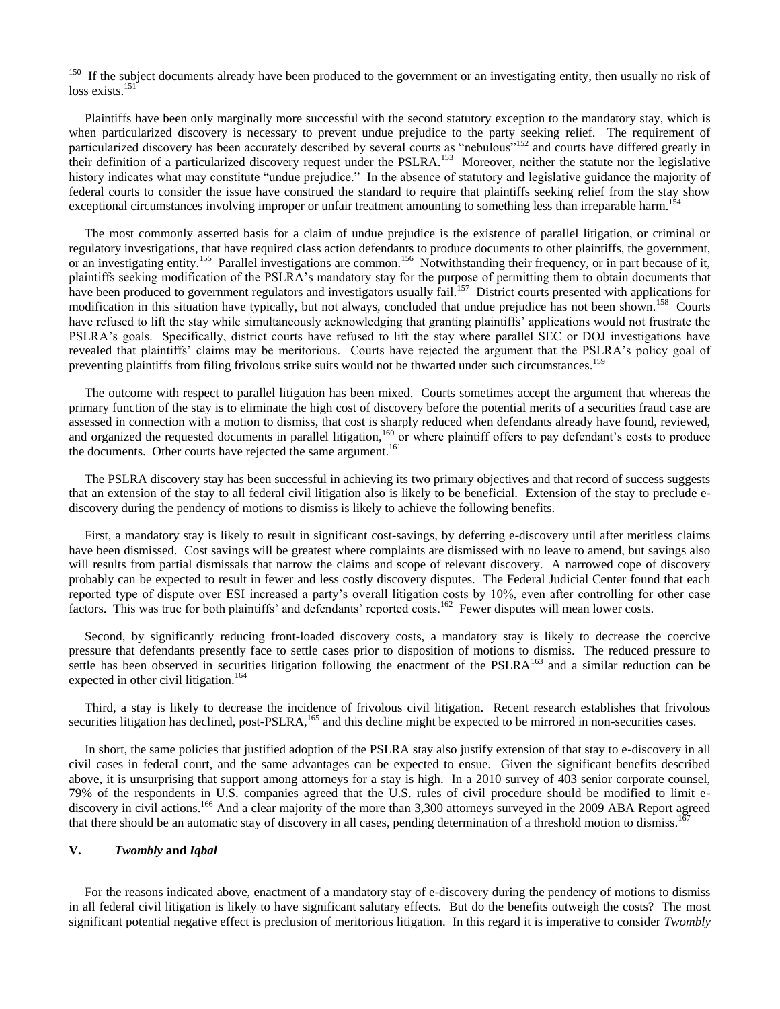<sup>150</sup> If the subject documents already have been produced to the government or an investigating entity, then usually no risk of loss exists.<sup>151</sup>

 Plaintiffs have been only marginally more successful with the second statutory exception to the mandatory stay, which is when particularized discovery is necessary to prevent undue prejudice to the party seeking relief. The requirement of particularized discovery has been accurately described by several courts as "nebulous"<sup>152</sup> and courts have differed greatly in their definition of a particularized discovery request under the PSLRA.<sup>153</sup> Moreover, neither the statute nor the legislative history indicates what may constitute "undue prejudice." In the absence of statutory and legislative guidance the majority of federal courts to consider the issue have construed the standard to require that plaintiffs seeking relief from the stay show exceptional circumstances involving improper or unfair treatment amounting to something less than irreparable harm.<sup>154</sup>

 The most commonly asserted basis for a claim of undue prejudice is the existence of parallel litigation, or criminal or regulatory investigations, that have required class action defendants to produce documents to other plaintiffs, the government, or an investigating entity.<sup>155</sup> Parallel investigations are common.<sup>156</sup> Notwithstanding their frequency, or in part because of it, plaintiffs seeking modification of the PSLRA's mandatory stay for the purpose of permitting them to obtain documents that have been produced to government regulators and investigators usually fail.<sup>157</sup> District courts presented with applications for modification in this situation have typically, but not always, concluded that undue prejudice has not been shown.<sup>158</sup> Courts have refused to lift the stay while simultaneously acknowledging that granting plaintiffs' applications would not frustrate the PSLRA's goals. Specifically, district courts have refused to lift the stay where parallel SEC or DOJ investigations have revealed that plaintiffs' claims may be meritorious. Courts have rejected the argument that the PSLRA's policy goal of preventing plaintiffs from filing frivolous strike suits would not be thwarted under such circumstances.<sup>159</sup>

 The outcome with respect to parallel litigation has been mixed. Courts sometimes accept the argument that whereas the primary function of the stay is to eliminate the high cost of discovery before the potential merits of a securities fraud case are assessed in connection with a motion to dismiss, that cost is sharply reduced when defendants already have found, reviewed, and organized the requested documents in parallel litigation,<sup>160</sup> or where plaintiff offers to pay defendant's costs to produce the documents. Other courts have rejected the same argument.<sup>161</sup>

 The PSLRA discovery stay has been successful in achieving its two primary objectives and that record of success suggests that an extension of the stay to all federal civil litigation also is likely to be beneficial. Extension of the stay to preclude ediscovery during the pendency of motions to dismiss is likely to achieve the following benefits.

 First, a mandatory stay is likely to result in significant cost-savings, by deferring e-discovery until after meritless claims have been dismissed. Cost savings will be greatest where complaints are dismissed with no leave to amend, but savings also will results from partial dismissals that narrow the claims and scope of relevant discovery. A narrowed cope of discovery probably can be expected to result in fewer and less costly discovery disputes. The Federal Judicial Center found that each reported type of dispute over ESI increased a party's overall litigation costs by 10%, even after controlling for other case factors. This was true for both plaintiffs' and defendants' reported costs.<sup>162</sup> Fewer disputes will mean lower costs.

 Second, by significantly reducing front-loaded discovery costs, a mandatory stay is likely to decrease the coercive pressure that defendants presently face to settle cases prior to disposition of motions to dismiss. The reduced pressure to settle has been observed in securities litigation following the enactment of the PSLRA $163$  and a similar reduction can be expected in other civil litigation.<sup>164</sup>

 Third, a stay is likely to decrease the incidence of frivolous civil litigation. Recent research establishes that frivolous securities litigation has declined, post-PSLRA,<sup>165</sup> and this decline might be expected to be mirrored in non-securities cases.

 In short, the same policies that justified adoption of the PSLRA stay also justify extension of that stay to e-discovery in all civil cases in federal court, and the same advantages can be expected to ensue. Given the significant benefits described above, it is unsurprising that support among attorneys for a stay is high. In a 2010 survey of 403 senior corporate counsel, 79% of the respondents in U.S. companies agreed that the U.S. rules of civil procedure should be modified to limit ediscovery in civil actions.<sup>166</sup> And a clear majority of the more than 3,300 attorneys surveyed in the 2009 ABA Report agreed that there should be an automatic stay of discovery in all cases, pending determination of a threshold motion to dismiss.<sup>167</sup>

# **V.** *Twombly* **and** *Iqbal*

 For the reasons indicated above, enactment of a mandatory stay of e-discovery during the pendency of motions to dismiss in all federal civil litigation is likely to have significant salutary effects. But do the benefits outweigh the costs? The most significant potential negative effect is preclusion of meritorious litigation. In this regard it is imperative to consider *Twombly*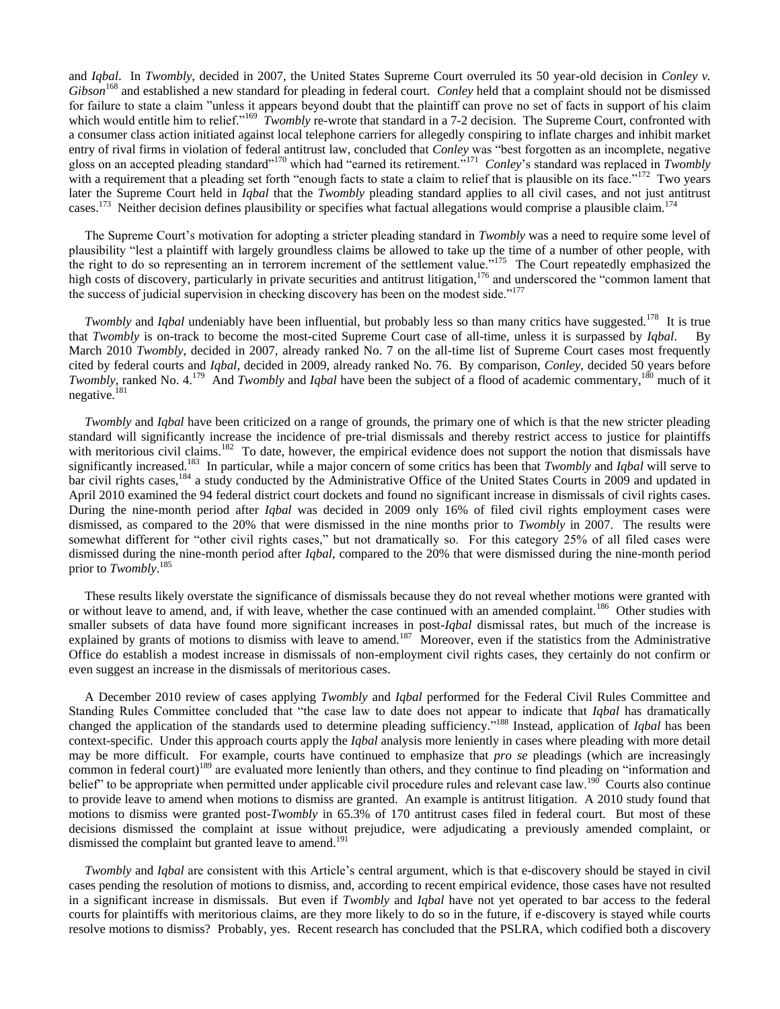and *Iqbal*. In *Twombly*, decided in 2007, the United States Supreme Court overruled its 50 year-old decision in *Conley v*. *Gibson* <sup>168</sup> and established a new standard for pleading in federal court. *Conley* held that a complaint should not be dismissed for failure to state a claim "unless it appears beyond doubt that the plaintiff can prove no set of facts in support of his claim which would entitle him to relief."<sup>169</sup> *Twombly* re-wrote that standard in a 7-2 decision. The Supreme Court, confronted with a consumer class action initiated against local telephone carriers for allegedly conspiring to inflate charges and inhibit market entry of rival firms in violation of federal antitrust law, concluded that *Conley* was "best forgotten as an incomplete, negative gloss on an accepted pleading standard"<sup>170</sup> which had "earned its retirement."<sup>171</sup> Conley's standard was replaced in *Twombly* with a requirement that a pleading set forth "enough facts to state a claim to relief that is plausible on its face."<sup>172</sup> Two years later the Supreme Court held in *Iqbal* that the *Twombly* pleading standard applies to all civil cases, and not just antitrust cases.<sup>173</sup> Neither decision defines plausibility or specifies what factual allegations would comprise a plausible claim.<sup>174</sup>

 The Supreme Court's motivation for adopting a stricter pleading standard in *Twombly* was a need to require some level of plausibility "lest a plaintiff with largely groundless claims be allowed to take up the time of a number of other people, with the right to do so representing an in terrorem increment of the settlement value."<sup>175</sup> The Court repeatedly emphasized the high costs of discovery, particularly in private securities and antitrust litigation,<sup>176</sup> and underscored the "common lament that the success of judicial supervision in checking discovery has been on the modest side."<sup>177</sup>

*Twombly* and *Iqbal* undeniably have been influential, but probably less so than many critics have suggested.<sup>178</sup> It is true that *Twombly* is on-track to become the most-cited Supreme Court case of all-time, unless it is surpassed by *Iqbal*. By March 2010 *Twombly*, decided in 2007, already ranked No. 7 on the all-time list of Supreme Court cases most frequently cited by federal courts and *Iqbal*, decided in 2009, already ranked No. 76. By comparison, *Conley*, decided 50 years before *Twombly*, ranked No. 4.<sup>179</sup> And *Twombly* and *Iqbal* have been the subject of a flood of academic commentary,<sup>180</sup> much of it negative.<sup>181</sup>

 *Twombly* and *Iqbal* have been criticized on a range of grounds, the primary one of which is that the new stricter pleading standard will significantly increase the incidence of pre-trial dismissals and thereby restrict access to justice for plaintiffs with meritorious civil claims.<sup>182</sup> To date, however, the empirical evidence does not support the notion that dismissals have significantly increased.<sup>183</sup> In particular, while a major concern of some critics has been that *Twombly* and *Iqbal* will serve to bar civil rights cases,<sup>184</sup> a study conducted by the Administrative Office of the United States Courts in 2009 and updated in April 2010 examined the 94 federal district court dockets and found no significant increase in dismissals of civil rights cases. During the nine-month period after *Iqbal* was decided in 2009 only 16% of filed civil rights employment cases were dismissed, as compared to the 20% that were dismissed in the nine months prior to *Twombly* in 2007. The results were somewhat different for "other civil rights cases," but not dramatically so. For this category 25% of all filed cases were dismissed during the nine-month period after *Iqbal*, compared to the 20% that were dismissed during the nine-month period prior to *Twombly*. 185

 These results likely overstate the significance of dismissals because they do not reveal whether motions were granted with or without leave to amend, and, if with leave, whether the case continued with an amended complaint.<sup>186</sup> Other studies with smaller subsets of data have found more significant increases in post-*Iqbal* dismissal rates, but much of the increase is explained by grants of motions to dismiss with leave to amend.<sup>187</sup> Moreover, even if the statistics from the Administrative Office do establish a modest increase in dismissals of non-employment civil rights cases, they certainly do not confirm or even suggest an increase in the dismissals of meritorious cases.

 A December 2010 review of cases applying *Twombly* and *Iqbal* performed for the Federal Civil Rules Committee and Standing Rules Committee concluded that "the case law to date does not appear to indicate that *Iqbal* has dramatically changed the application of the standards used to determine pleading sufficiency."<sup>188</sup> Instead, application of *Iqbal* has been context-specific. Under this approach courts apply the *Iqbal* analysis more leniently in cases where pleading with more detail may be more difficult. For example, courts have continued to emphasize that *pro se* pleadings (which are increasingly common in federal court)<sup>189</sup> are evaluated more leniently than others, and they continue to find pleading on "information and belief" to be appropriate when permitted under applicable civil procedure rules and relevant case law.<sup>190</sup> Courts also continue to provide leave to amend when motions to dismiss are granted. An example is antitrust litigation. A 2010 study found that motions to dismiss were granted post-*Twombly* in 65.3% of 170 antitrust cases filed in federal court. But most of these decisions dismissed the complaint at issue without prejudice, were adjudicating a previously amended complaint, or dismissed the complaint but granted leave to amend.<sup>191</sup>

 *Twombly* and *Iqbal* are consistent with this Article's central argument, which is that e-discovery should be stayed in civil cases pending the resolution of motions to dismiss, and, according to recent empirical evidence, those cases have not resulted in a significant increase in dismissals. But even if *Twombly* and *Iqbal* have not yet operated to bar access to the federal courts for plaintiffs with meritorious claims, are they more likely to do so in the future, if e-discovery is stayed while courts resolve motions to dismiss? Probably, yes. Recent research has concluded that the PSLRA, which codified both a discovery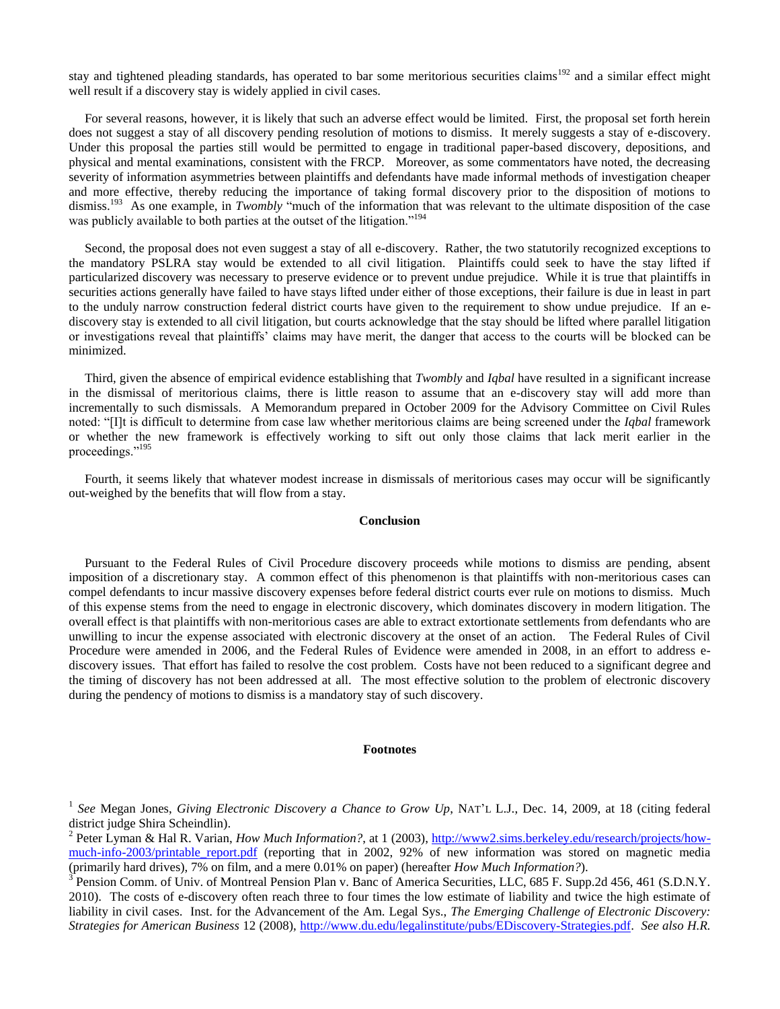stay and tightened pleading standards, has operated to bar some meritorious securities claims<sup>192</sup> and a similar effect might well result if a discovery stay is widely applied in civil cases.

 For several reasons, however, it is likely that such an adverse effect would be limited. First, the proposal set forth herein does not suggest a stay of all discovery pending resolution of motions to dismiss. It merely suggests a stay of e-discovery. Under this proposal the parties still would be permitted to engage in traditional paper-based discovery, depositions, and physical and mental examinations, consistent with the FRCP. Moreover, as some commentators have noted, the decreasing severity of information asymmetries between plaintiffs and defendants have made informal methods of investigation cheaper and more effective, thereby reducing the importance of taking formal discovery prior to the disposition of motions to dismiss.<sup>193</sup> As one example, in *Twombly* "much of the information that was relevant to the ultimate disposition of the case was publicly available to both parties at the outset of the litigation."<sup>194</sup>

 Second, the proposal does not even suggest a stay of all e-discovery. Rather, the two statutorily recognized exceptions to the mandatory PSLRA stay would be extended to all civil litigation. Plaintiffs could seek to have the stay lifted if particularized discovery was necessary to preserve evidence or to prevent undue prejudice. While it is true that plaintiffs in securities actions generally have failed to have stays lifted under either of those exceptions, their failure is due in least in part to the unduly narrow construction federal district courts have given to the requirement to show undue prejudice. If an ediscovery stay is extended to all civil litigation, but courts acknowledge that the stay should be lifted where parallel litigation or investigations reveal that plaintiffs' claims may have merit, the danger that access to the courts will be blocked can be minimized.

 Third, given the absence of empirical evidence establishing that *Twombly* and *Iqbal* have resulted in a significant increase in the dismissal of meritorious claims, there is little reason to assume that an e-discovery stay will add more than incrementally to such dismissals. A Memorandum prepared in October 2009 for the Advisory Committee on Civil Rules noted: ―[I]t is difficult to determine from case law whether meritorious claims are being screened under the *Iqbal* framework or whether the new framework is effectively working to sift out only those claims that lack merit earlier in the proceedings."<sup>195</sup>

 Fourth, it seems likely that whatever modest increase in dismissals of meritorious cases may occur will be significantly out-weighed by the benefits that will flow from a stay.

#### **Conclusion**

 Pursuant to the Federal Rules of Civil Procedure discovery proceeds while motions to dismiss are pending, absent imposition of a discretionary stay. A common effect of this phenomenon is that plaintiffs with non-meritorious cases can compel defendants to incur massive discovery expenses before federal district courts ever rule on motions to dismiss. Much of this expense stems from the need to engage in electronic discovery, which dominates discovery in modern litigation. The overall effect is that plaintiffs with non-meritorious cases are able to extract extortionate settlements from defendants who are unwilling to incur the expense associated with electronic discovery at the onset of an action. The Federal Rules of Civil Procedure were amended in 2006, and the Federal Rules of Evidence were amended in 2008, in an effort to address ediscovery issues. That effort has failed to resolve the cost problem. Costs have not been reduced to a significant degree and the timing of discovery has not been addressed at all. The most effective solution to the problem of electronic discovery during the pendency of motions to dismiss is a mandatory stay of such discovery.

### **Footnotes**

<sup>&</sup>lt;sup>1</sup> See Megan Jones, *Giving Electronic Discovery a Chance to Grow Up*, NAT'L L.J., Dec. 14, 2009, at 18 (citing federal district judge Shira Scheindlin).

<sup>&</sup>lt;sup>2</sup> Peter Lyman & Hal R. Varian, *How Much Information?*, at 1 (2003), [http://www2.sims.berkeley.edu/research/projects/how](http://www2.sims.berkeley.edu/research/projects/how-much-info-2003/printable_report.pdf)much-info-2003/printable report.pdf (reporting that in 2002, 92% of new information was stored on magnetic media (primarily hard drives), 7% on film, and a mere 0.01% on paper) (hereafter *How Much Information?*).

<sup>3</sup> Pension Comm. of Univ. of Montreal Pension Plan v. Banc of America Securities, LLC, 685 F. Supp.2d 456, 461 (S.D.N.Y. 2010). The costs of e-discovery often reach three to four times the low estimate of liability and twice the high estimate of liability in civil cases. Inst. for the Advancement of the Am. Legal Sys., *The Emerging Challenge of Electronic Discovery: Strategies for American Business* 12 (2008), [http://www.du.edu/legalinstitute/pubs/EDiscovery-Strategies.pdf.](http://www.du.edu/legalinstitute/pubs/EDiscovery-Strategies.pdf) *See also H.R.*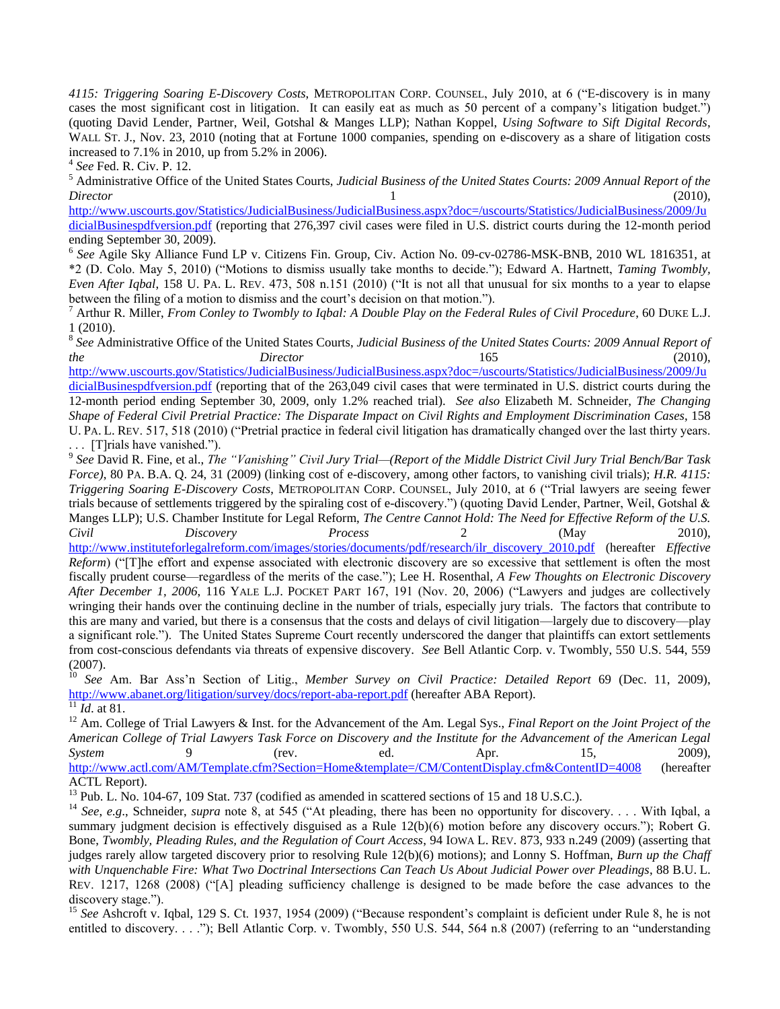*4115: Triggering Soaring E-Discovery Costs*, METROPOLITAN CORP. COUNSEL, July 2010, at 6 ("E-discovery is in many cases the most significant cost in litigation. It can easily eat as much as 50 percent of a company's litigation budget.‖) (quoting David Lender, Partner, Weil, Gotshal & Manges LLP); Nathan Koppel, *Using Software to Sift Digital Records*, WALL ST. J., Nov. 23, 2010 (noting that at Fortune 1000 companies, spending on e-discovery as a share of litigation costs increased to 7.1% in 2010, up from 5.2% in 2006).

4 *See* Fed. R. Civ. P. 12.

<sup>5</sup> Administrative Office of the United States Courts, *Judicial Business of the United States Courts: 2009 Annual Report of the Director* 1 (2010),

[http://www.uscourts.gov/Statistics/JudicialBusiness/JudicialBusiness.aspx?doc=/uscourts/Statistics/JudicialBusiness/2009/Ju](http://www.uscourts.gov/Statistics/JudicialBusiness/JudicialBusiness.aspx?doc=/uscourts/Statistics/JudicialBusiness/2009/JudicialBusinespdfversion.pdf) [dicialBusinespdfversion.pdf](http://www.uscourts.gov/Statistics/JudicialBusiness/JudicialBusiness.aspx?doc=/uscourts/Statistics/JudicialBusiness/2009/JudicialBusinespdfversion.pdf) (reporting that 276,397 civil cases were filed in U.S. district courts during the 12-month period ending September 30, 2009).

6 *See* Agile Sky Alliance Fund LP v. Citizens Fin. Group, Civ. Action No. 09-cv-02786-MSK-BNB, 2010 WL 1816351, at \*2 (D. Colo. May 5, 2010) (―Motions to dismiss usually take months to decide.‖); Edward A. Hartnett, *Taming Twombly, Even After Iqbal*, 158 U. PA. L. REV. 473, 508 n.151 (2010) ("It is not all that unusual for six months to a year to elapse between the filing of a motion to dismiss and the court's decision on that motion.").

<sup>7</sup> Arthur R. Miller, *From Conley to Twombly to Iqbal: A Double Play on the Federal Rules of Civil Procedure*, 60 DUKE L.J. 1 (2010).

<sup>8</sup> See Administrative Office of the United States Courts, *Judicial Business of the United States Courts: 2009 Annual Report of the Director* 165 (2010),

[http://www.uscourts.gov/Statistics/JudicialBusiness/JudicialBusiness.aspx?doc=/uscourts/Statistics/JudicialBusiness/2009/Ju](http://www.uscourts.gov/Statistics/JudicialBusiness/JudicialBusiness.aspx?doc=/uscourts/Statistics/JudicialBusiness/2009/JudicialBusinespdfversion.pdf) [dicialBusinespdfversion.pdf](http://www.uscourts.gov/Statistics/JudicialBusiness/JudicialBusiness.aspx?doc=/uscourts/Statistics/JudicialBusiness/2009/JudicialBusinespdfversion.pdf) (reporting that of the 263,049 civil cases that were terminated in U.S. district courts during the 12-month period ending September 30, 2009, only 1.2% reached trial). *See also* Elizabeth M. Schneider, *The Changing Shape of Federal Civil Pretrial Practice: The Disparate Impact on Civil Rights and Employment Discrimination Cases*, 158 U. PA. L. REV. 517, 518 (2010) ("Pretrial practice in federal civil litigation has dramatically changed over the last thirty years.

. . . [T]rials have vanished.").<br><sup>9</sup> See David R. Fine, et al., *The "Vanishing" Civil Jury Trial—(Report of the Middle District Civil Jury Trial Bench/Bar Task Force)*, 80 PA. B.A. Q. 24, 31 (2009) (linking cost of e-discovery, among other factors, to vanishing civil trials); *H.R. 4115: Triggering Soaring E-Discovery Costs*, METROPOLITAN CORP. COUNSEL, July 2010, at 6 ("Trial lawyers are seeing fewer trials because of settlements triggered by the spiraling cost of e-discovery.") (quoting David Lender, Partner, Weil, Gotshal & Manges LLP); U.S. Chamber Institute for Legal Reform, *The Centre Cannot Hold: The Need for Effective Reform of the U.S. Civil Discovery Process* 2 (May 2010), [http://www.instituteforlegalreform.com/images/stories/documents/pdf/research/ilr\\_discovery\\_2010.pdf](http://www.instituteforlegalreform.com/images/stories/documents/pdf/research/ilr_discovery_2010.pdf) (hereafter *Effective Reform*) ("[T]he effort and expense associated with electronic discovery are so excessive that settlement is often the most fiscally prudent course—regardless of the merits of the case.‖); Lee H. Rosenthal, *A Few Thoughts on Electronic Discovery After December 1, 2006, 116 YALE L.J. POCKET PART 167, 191 (Nov. 20, 2006) ("Lawyers and judges are collectively* wringing their hands over the continuing decline in the number of trials, especially jury trials. The factors that contribute to this are many and varied, but there is a consensus that the costs and delays of civil litigation—largely due to discovery—play a significant role."). The United States Supreme Court recently underscored the danger that plaintiffs can extort settlements from cost-conscious defendants via threats of expensive discovery. *See* Bell Atlantic Corp. v. Twombly, 550 U.S. 544, 559 (2007).

<sup>10</sup> *See* Am. Bar Ass'n Section of Litig., *Member Survey on Civil Practice: Detailed Report* 69 (Dec. 11, 2009), <http://www.abanet.org/litigation/survey/docs/report-aba-report.pdf> (hereafter ABA Report).

 $\frac{11}{11}$ *Id.* at 81.

<sup>12</sup> Am. College of Trial Lawyers & Inst. for the Advancement of the Am. Legal Sys., *Final Report on the Joint Project of the American College of Trial Lawyers Task Force on Discovery and the Institute for the Advancement of the American Legal System* 9 (rev. ed. Apr. 15, 2009), <http://www.actl.com/AM/Template.cfm?Section=Home&template=/CM/ContentDisplay.cfm&ContentID=4008> (hereafter ACTL Report).

<sup>13</sup> Pub. L. No. 104-67, 109 Stat. 737 (codified as amended in scattered sections of 15 and 18 U.S.C.).

<sup>14</sup> See, e.g., Schneider, *supra* note 8, at 545 ("At pleading, there has been no opportunity for discovery. . . . With Iqbal, a summary judgment decision is effectively disguised as a Rule 12(b)(6) motion before any discovery occurs."); Robert G. Bone, *Twombly, Pleading Rules, and the Regulation of Court Access*, 94 IOWA L. REV. 873, 933 n.249 (2009) (asserting that judges rarely allow targeted discovery prior to resolving Rule 12(b)(6) motions); and Lonny S. Hoffman, *Burn up the Chaff with Unquenchable Fire: What Two Doctrinal Intersections Can Teach Us About Judicial Power over Pleadings*, 88 B.U. L. REV. 1217, 1268 (2008) ("[A] pleading sufficiency challenge is designed to be made before the case advances to the discovery stage.").

<sup>15</sup> See Ashcroft v. Iqbal, 129 S. Ct. 1937, 1954 (2009) ("Because respondent's complaint is deficient under Rule 8, he is not entitled to discovery. . . ."); Bell Atlantic Corp. v. Twombly, 550 U.S. 544, 564 n.8 (2007) (referring to an "understanding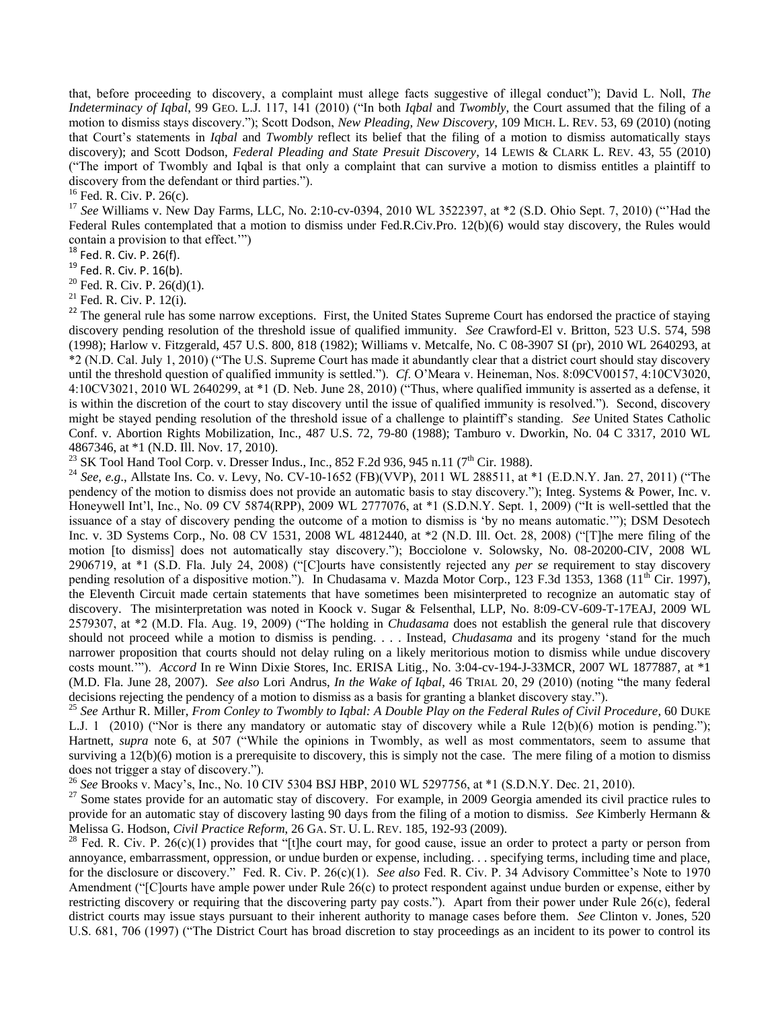that, before proceeding to discovery, a complaint must allege facts suggestive of illegal conduct"); David L. Noll, *The Indeterminacy of Iqbal*, 99 GEO. L.J. 117, 141 (2010) ("In both *Iqbal* and *Twombly*, the Court assumed that the filing of a motion to dismiss stays discovery.‖); Scott Dodson, *New Pleading, New Discovery*, 109 MICH. L. REV. 53, 69 (2010) (noting that Court's statements in *Iqbal* and *Twombly* reflect its belief that the filing of a motion to dismiss automatically stays discovery); and Scott Dodson, *Federal Pleading and State Presuit Discovery*, 14 LEWIS & CLARK L. REV. 43, 55 (2010) (―The import of Twombly and Iqbal is that only a complaint that can survive a motion to dismiss entitles a plaintiff to discovery from the defendant or third parties.").

 $16$  Fed. R. Civ. P. 26(c).

<sup>17</sup> See Williams v. New Day Farms, LLC, No. 2:10-cv-0394, 2010 WL 3522397, at \*2 (S.D. Ohio Sept. 7, 2010) ("Had the Federal Rules contemplated that a motion to dismiss under Fed.R.Civ.Pro. 12(b)(6) would stay discovery, the Rules would contain a provision to that effect."

 $18$  Fed. R. Civ. P. 26(f).

 $19$  Fed. R. Civ. P. 16(b).

<sup>20</sup> Fed. R. Civ. P.  $26(d)(1)$ .

 $21$  Fed. R. Civ. P. 12(i).

<sup>22</sup> The general rule has some narrow exceptions. First, the United States Supreme Court has endorsed the practice of staying discovery pending resolution of the threshold issue of qualified immunity. *See Crawford-El v. Britton, 523 U.S. 574, 598* (1998); Harlow v. Fitzgerald, 457 U.S. 800, 818 (1982); Williams v. Metcalfe, No. C 08-3907 SI (pr), 2010 WL 2640293, at \*2 (N.D. Cal. July 1, 2010) ("The U.S. Supreme Court has made it abundantly clear that a district court should stay discovery until the threshold question of qualified immunity is settled."). *Cf.* O'Meara v. Heineman, Nos. 8:09CV00157, 4:10CV3020,  $4:10CV3021$ ,  $2010 WL 2640299$ , at  $*1$  (D. Neb. June 28,  $2010$ ) ("Thus, where qualified immunity is asserted as a defense, it is within the discretion of the court to stay discovery until the issue of qualified immunity is resolved."). Second, discovery might be stayed pending resolution of the threshold issue of a challenge to plaintiff's standing. *See* United States Catholic Conf. v. Abortion Rights Mobilization, Inc., 487 U.S. 72, 79-80 (1988); Tamburo v. Dworkin, No. 04 C 3317, 2010 WL 4867346, at \*1 (N.D. Ill. Nov. 17, 2010).

<sup>23</sup> SK Tool Hand Tool Corp. v. Dresser Indus., Inc., 852 F.2d 936, 945 n.11 (7<sup>th</sup> Cir. 1988).

<sup>24</sup> See, e.g., Allstate Ins. Co. v. Levy, No. CV-10-1652 (FB)(VVP), 2011 WL 288511, at \*1 (E.D.N.Y. Jan. 27, 2011) ("The pendency of the motion to dismiss does not provide an automatic basis to stay discovery."); Integ. Systems & Power, Inc. v. Honeywell Int'l, Inc., No. 09 CV 5874(RPP), 2009 WL 2777076, at  $*1$  (S.D.N.Y. Sept. 1, 2009) ("It is well-settled that the issuance of a stay of discovery pending the outcome of a motion to dismiss is 'by no means automatic.'"); DSM Desotech Inc. v. 3D Systems Corp., No. 08 CV 1531, 2008 WL 4812440, at \*2 (N.D. Ill. Oct. 28, 2008) ("The mere filing of the motion [to dismiss] does not automatically stay discovery."); Bocciolone v. Solowsky, No. 08-20200-CIV, 2008 WL 2906719, at \*1 (S.D. Fla. July 24, 2008) ("[C]ourts have consistently rejected any *per se* requirement to stay discovery pending resolution of a dispositive motion."). In Chudasama v. Mazda Motor Corp., 123 F.3d 1353, 1368 ( $11<sup>th</sup>$  Cir. 1997), the Eleventh Circuit made certain statements that have sometimes been misinterpreted to recognize an automatic stay of discovery. The misinterpretation was noted in Koock v. Sugar & Felsenthal, LLP, No. 8:09-CV-609-T-17EAJ, 2009 WL 2579307, at \*2 (M.D. Fla. Aug. 19, 2009) ("The holding in *Chudasama* does not establish the general rule that discovery should not proceed while a motion to dismiss is pending. . . . Instead, *Chudasama* and its progeny 'stand for the much narrower proposition that courts should not delay ruling on a likely meritorious motion to dismiss while undue discovery costs mount.""). *Accord* In re Winn Dixie Stores, Inc. ERISA Litig., No. 3:04-cv-194-J-33MCR, 2007 WL 1877887, at \*1 (M.D. Fla. June 28, 2007). *See also* Lori Andrus, *In the Wake of Igbal*, 46 TRIAL 20, 29 (2010) (noting "the many federal decisions rejecting the pendency of a motion to dismiss as a basis for granting a blanket discovery stay.").

<sup>25</sup> *See* Arthur R. Miller, *From Conley to Twombly to Iqbal: A Double Play on the Federal Rules of Civil Procedure*, 60 DUKE L.J. 1 (2010) (Wor is there any mandatory or automatic stay of discovery while a Rule  $12(b)(6)$  motion is pending."); Hartnett, *supra* note 6, at 507 ("While the opinions in Twombly, as well as most commentators, seem to assume that surviving a 12(b)(6) motion is a prerequisite to discovery, this is simply not the case. The mere filing of a motion to dismiss does not trigger a stay of discovery.").

<sup>26</sup> *See* Brooks v. Macy's, Inc., No. 10 CIV 5304 BSJ HBP, 2010 WL 5297756, at \*1 (S.D.N.Y. Dec. 21, 2010).

 $27$  Some states provide for an automatic stay of discovery. For example, in 2009 Georgia amended its civil practice rules to provide for an automatic stay of discovery lasting 90 days from the filing of a motion to dismiss. *See* Kimberly Hermann & Melissa G. Hodson, *Civil Practice Reform*, 26 GA. ST. U. L. REV. 185, 192-93 (2009).

<sup>28</sup> Fed. R. Civ. P. 26(c)(1) provides that "[t]he court may, for good cause, issue an order to protect a party or person from annoyance, embarrassment, oppression, or undue burden or expense, including. . . specifying terms, including time and place, for the disclosure or discovery.‖ Fed. R. Civ. P. 26(c)(1). *See also* Fed. R. Civ. P. 34 Advisory Committee's Note to 1970 Amendment ("[C]ourts have ample power under Rule 26(c) to protect respondent against undue burden or expense, either by restricting discovery or requiring that the discovering party pay costs."). Apart from their power under Rule 26(c), federal district courts may issue stays pursuant to their inherent authority to manage cases before them. *See* Clinton v. Jones, 520 U.S. 681, 706 (1997) ("The District Court has broad discretion to stay proceedings as an incident to its power to control its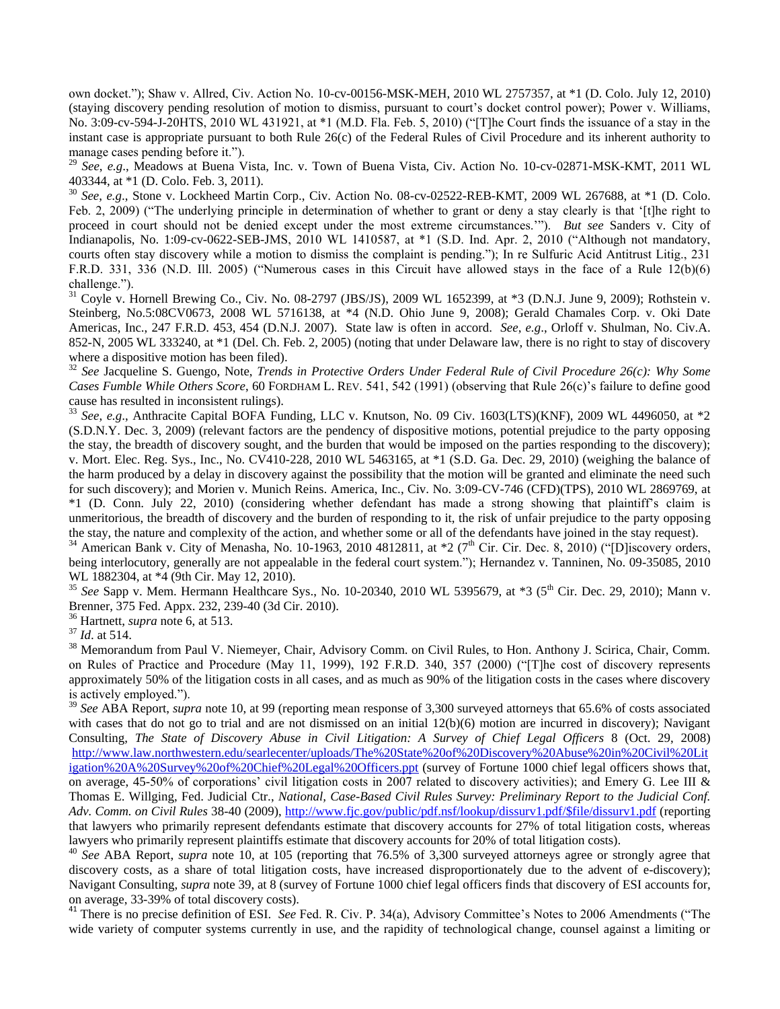own docket.‖); Shaw v. Allred, Civ. Action No. 10-cv-00156-MSK-MEH, 2010 WL 2757357, at \*1 (D. Colo. July 12, 2010) (staying discovery pending resolution of motion to dismiss, pursuant to court's docket control power); Power v. Williams, No. 3:09-cv-594-J-20HTS, 2010 WL 431921, at \*1 (M.D. Fla. Feb. 5, 2010) ("[T]he Court finds the issuance of a stay in the instant case is appropriate pursuant to both Rule 26(c) of the Federal Rules of Civil Procedure and its inherent authority to manage cases pending before it.").

<sup>29</sup> *See*, *e.g*., Meadows at Buena Vista, Inc. v. Town of Buena Vista, Civ. Action No. 10-cv-02871-MSK-KMT, 2011 WL 403344, at \*1 (D. Colo. Feb. 3, 2011).

<sup>30</sup> See, e.g., Stone v. Lockheed Martin Corp., Civ. Action No. 08-cv-02522-REB-KMT, 2009 WL 267688, at \*1 (D. Colo. Feb. 2, 2009) ("The underlying principle in determination of whether to grant or deny a stay clearly is that '[t]he right to proceed in court should not be denied except under the most extreme circumstances.""). *But see* Sanders v. City of Indianapolis, No. 1:09-cv-0622-SEB-JMS, 2010 WL 1410587, at  $*1$  (S.D. Ind. Apr. 2, 2010 ("Although not mandatory, courts often stay discovery while a motion to dismiss the complaint is pending."); In re Sulfuric Acid Antitrust Litig., 231 F.R.D. 331, 336 (N.D. Ill. 2005) ("Numerous cases in this Circuit have allowed stays in the face of a Rule  $12(b)(6)$ challenge.").

 $31$  Coyle v. Hornell Brewing Co., Civ. No. 08-2797 (JBS/JS), 2009 WL 1652399, at  $*3$  (D.N.J. June 9, 2009); Rothstein v. Steinberg, No.5:08CV0673, 2008 WL 5716138, at \*4 (N.D. Ohio June 9, 2008); Gerald Chamales Corp. v. Oki Date Americas, Inc., 247 F.R.D. 453, 454 (D.N.J. 2007). State law is often in accord. *See*, *e.g*., Orloff v. Shulman, No. Civ.A. 852-N, 2005 WL 333240, at \*1 (Del. Ch. Feb. 2, 2005) (noting that under Delaware law, there is no right to stay of discovery where a dispositive motion has been filed).

<sup>32</sup> *See* Jacqueline S. Guengo, Note, *Trends in Protective Orders Under Federal Rule of Civil Procedure 26(c): Why Some Cases Fumble While Others Score*, 60 FORDHAM L. REV. 541, 542 (1991) (observing that Rule 26(c)'s failure to define good cause has resulted in inconsistent rulings).

<sup>33</sup> *See*, *e.g*., Anthracite Capital BOFA Funding, LLC v. Knutson, No. 09 Civ. 1603(LTS)(KNF), 2009 WL 4496050, at \*2 (S.D.N.Y. Dec. 3, 2009) (relevant factors are the pendency of dispositive motions, potential prejudice to the party opposing the stay, the breadth of discovery sought, and the burden that would be imposed on the parties responding to the discovery); v. Mort. Elec. Reg. Sys., Inc., No. CV410-228, 2010 WL 5463165, at \*1 (S.D. Ga. Dec. 29, 2010) (weighing the balance of the harm produced by a delay in discovery against the possibility that the motion will be granted and eliminate the need such for such discovery); and Morien v. Munich Reins. America, Inc., Civ. No. 3:09-CV-746 (CFD)(TPS), 2010 WL 2869769, at \*1 (D. Conn. July 22, 2010) (considering whether defendant has made a strong showing that plaintiff's claim is unmeritorious, the breadth of discovery and the burden of responding to it, the risk of unfair prejudice to the party opposing the stay, the nature and complexity of the action, and whether some or all of the defendants have joined in the stay request).

 $34$  American Bank v. City of Menasha, No. 10-1963, 2010 4812811, at  $*2$  (7<sup>th</sup> Cir. Cir. Dec. 8, 2010) ("[D]iscovery orders, being interlocutory, generally are not appealable in the federal court system."); Hernandez v. Tanninen, No. 09-35085, 2010 WL 1882304, at \*4 (9th Cir. May 12, 2010).

<sup>35</sup> *See* Sapp v. Mem. Hermann Healthcare Sys., No. 10-20340, 2010 WL 5395679, at \*3 (5th Cir. Dec. 29, 2010); Mann v. Brenner, 375 Fed. Appx. 232, 239-40 (3d Cir. 2010).

<sup>36</sup> Hartnett, *supra* note 6, at 513.

<sup>37</sup> *Id*. at 514.

<sup>38</sup> Memorandum from Paul V. Niemeyer, Chair, Advisory Comm. on Civil Rules, to Hon. Anthony J. Scirica, Chair, Comm. on Rules of Practice and Procedure (May 11, 1999), 192 F.R.D. 340, 357 (2000) ("[T]he cost of discovery represents approximately 50% of the litigation costs in all cases, and as much as 90% of the litigation costs in the cases where discovery is actively employed.").

<sup>39</sup> See ABA Report, *supra* note 10, at 99 (reporting mean response of 3,300 surveyed attorneys that 65.6% of costs associated with cases that do not go to trial and are not dismissed on an initial  $12(b)(6)$  motion are incurred in discovery); Navigant Consulting, *The State of Discovery Abuse in Civil Litigation: A Survey of Chief Legal Officers* 8 (Oct. 29, 2008) [http://www.law.northwestern.edu/searlecenter/uploads/The%20State%20of%20Discovery%20Abuse%20in%20Civil%20Lit](http://www.law.northwestern.edu/searlecenter/uploads/The%20State%20of%20Discovery%20Abuse%20in%20Civil%20Litigation%20A%20Survey%20of%20Chief%20Legal%20Officers.ppt) [igation%20A%20Survey%20of%20Chief%20Legal%20Officers.ppt](http://www.law.northwestern.edu/searlecenter/uploads/The%20State%20of%20Discovery%20Abuse%20in%20Civil%20Litigation%20A%20Survey%20of%20Chief%20Legal%20Officers.ppt) (survey of Fortune 1000 chief legal officers shows that, on average, 45-50% of corporations' civil litigation costs in 2007 related to discovery activities); and Emery G. Lee III & Thomas E. Willging, Fed. Judicial Ctr., *National, Case-Based Civil Rules Survey: Preliminary Report to the Judicial Conf. Adv. Comm. on Civil Rules* 38-40 (2009), [http://www.fjc.gov/public/pdf.nsf/lookup/dissurv1.pdf/\\$file/dissurv1.pdf](http://www.fjc.gov/public/pdf.nsf/lookup/dissurv1.pdf/$file/dissurv1.pdf) (reporting that lawyers who primarily represent defendants estimate that discovery accounts for 27% of total litigation costs, whereas lawyers who primarily represent plaintiffs estimate that discovery accounts for 20% of total litigation costs).

<sup>40</sup> See ABA Report, *supra* note 10, at 105 (reporting that 76.5% of 3,300 surveyed attorneys agree or strongly agree that discovery costs, as a share of total litigation costs, have increased disproportionately due to the advent of e-discovery); Navigant Consulting, *supra* note 39, at 8 (survey of Fortune 1000 chief legal officers finds that discovery of ESI accounts for, on average, 33-39% of total discovery costs).

<sup>41</sup> There is no precise definition of ESI. *See* Fed. R. Civ. P. 34(a), Advisory Committee's Notes to 2006 Amendments ("The wide variety of computer systems currently in use, and the rapidity of technological change, counsel against a limiting or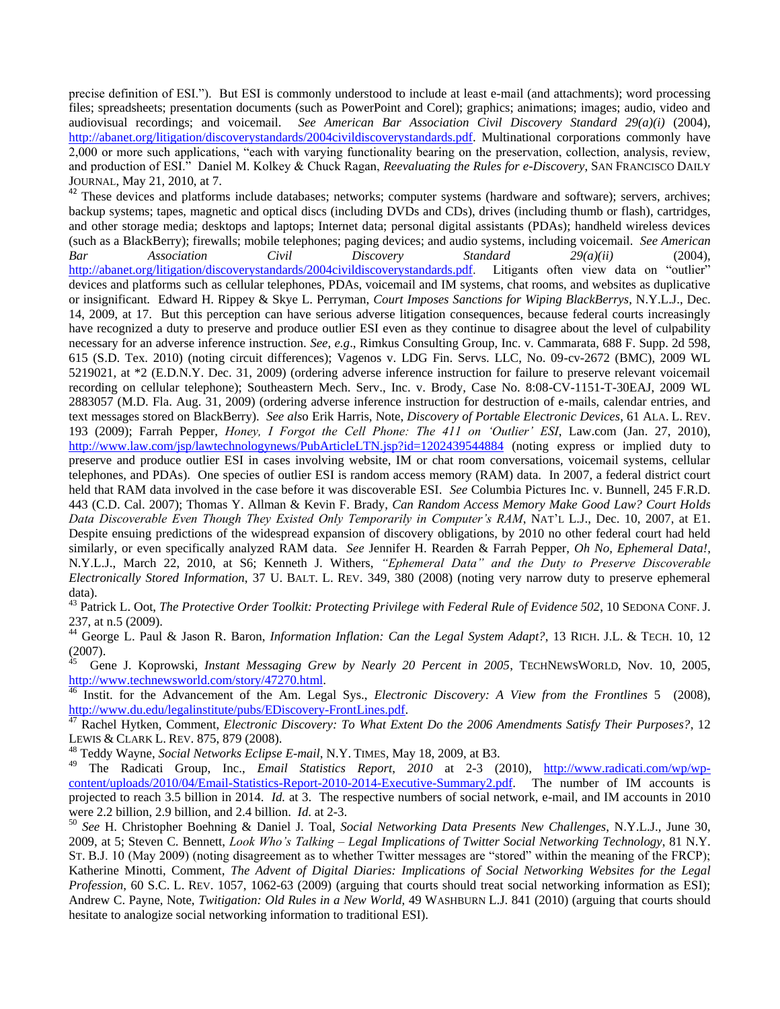precise definition of ESI.‖). But ESI is commonly understood to include at least e-mail (and attachments); word processing files; spreadsheets; presentation documents (such as PowerPoint and Corel); graphics; animations; images; audio, video and audiovisual recordings; and voicemail. *See American Bar Association Civil Discovery Standard 29(a)(i)* (2004), [http://abanet.org/litigation/discoverystandards/2004civildiscoverystandards.pdf.](http://abanet.org/litigation/discoverystandards/2004civildiscoverystandards.pdf) Multinational corporations commonly have 2,000 or more such applications, "each with varying functionality bearing on the preservation, collection, analysis, review, and production of ESI.‖ Daniel M. Kolkey & Chuck Ragan, *Reevaluating the Rules for e-Discovery*, SAN FRANCISCO DAILY JOURNAL, May 21, 2010, at 7.

<sup>42</sup> These devices and platforms include databases; networks; computer systems (hardware and software); servers, archives; backup systems; tapes, magnetic and optical discs (including DVDs and CDs), drives (including thumb or flash), cartridges, and other storage media; desktops and laptops; Internet data; personal digital assistants (PDAs); handheld wireless devices (such as a BlackBerry); firewalls; mobile telephones; paging devices; and audio systems, including voicemail. *See American Bar Association Civil Discovery Standard 29(a)(ii)* (2004), [http://abanet.org/litigation/discoverystandards/2004civildiscoverystandards.pdf.](http://abanet.org/litigation/discoverystandards/2004civildiscoverystandards.pdf) Litigants often view data on "outlier" devices and platforms such as cellular telephones, PDAs, voicemail and IM systems, chat rooms, and websites as duplicative or insignificant. Edward H. Rippey & Skye L. Perryman, *Court Imposes Sanctions for Wiping BlackBerrys*, N.Y.L.J., Dec. 14, 2009, at 17. But this perception can have serious adverse litigation consequences, because federal courts increasingly have recognized a duty to preserve and produce outlier ESI even as they continue to disagree about the level of culpability necessary for an adverse inference instruction. *See*, *e.g*., Rimkus Consulting Group, Inc. v. Cammarata, 688 F. Supp. 2d 598, 615 (S.D. Tex. 2010) (noting circuit differences); Vagenos v. LDG Fin. Servs. LLC, No. 09-cv-2672 (BMC), 2009 WL 5219021, at \*2 (E.D.N.Y. Dec. 31, 2009) (ordering adverse inference instruction for failure to preserve relevant voicemail recording on cellular telephone); Southeastern Mech. Serv., Inc. v. Brody, Case No. 8:08-CV-1151-T-30EAJ, 2009 WL 2883057 (M.D. Fla. Aug. 31, 2009) (ordering adverse inference instruction for destruction of e-mails, calendar entries, and text messages stored on BlackBerry). *See als*o Erik Harris, Note, *Discovery of Portable Electronic Devices*, 61 ALA. L. REV. 193 (2009); Farrah Pepper, *Honey, I Forgot the Cell Phone: The 411 on ‗Outlier' ESI*, Law.com (Jan. 27, 2010), <http://www.law.com/jsp/lawtechnologynews/PubArticleLTN.jsp?id=1202439544884> (noting express or implied duty to preserve and produce outlier ESI in cases involving website, IM or chat room conversations, voicemail systems, cellular telephones, and PDAs). One species of outlier ESI is random access memory (RAM) data. In 2007, a federal district court held that RAM data involved in the case before it was discoverable ESI. *See* Columbia Pictures Inc. v. Bunnell, 245 F.R.D. 443 (C.D. Cal. 2007); Thomas Y. Allman & Kevin F. Brady, *Can Random Access Memory Make Good Law? Court Holds Data Discoverable Even Though They Existed Only Temporarily in Computer's RAM*, NAT'L L.J., Dec. 10, 2007, at E1. Despite ensuing predictions of the widespread expansion of discovery obligations, by 2010 no other federal court had held similarly, or even specifically analyzed RAM data. *See* Jennifer H. Rearden & Farrah Pepper, *Oh No, Ephemeral Data!*, N.Y.L.J., March 22, 2010, at S6; Kenneth J. Withers, *"Ephemeral Data" and the Duty to Preserve Discoverable Electronically Stored Information*, 37 U. BALT. L. REV. 349, 380 (2008) (noting very narrow duty to preserve ephemeral data).

<sup>43</sup> Patrick L. Oot, *The Protective Order Toolkit: Protecting Privilege with Federal Rule of Evidence 502*, 10 SEDONA CONF. J. 237, at n.5 (2009).

<sup>44</sup> George L. Paul & Jason R. Baron, *Information Inflation: Can the Legal System Adapt?*, 13 RICH. J.L. & TECH. 10, 12  $(2007)$ .

 Gene J. Koprowski, *Instant Messaging Grew by Nearly 20 Percent in 2005*, TECHNEWSWORLD, Nov. 10, 2005, [http://www.technewsworld.com/story/47270.html.](http://www.technewsworld.com/story/47270.html)

<sup>46</sup> Instit. for the Advancement of the Am. Legal Sys., *Electronic Discovery: A View from the Frontlines* 5 (2008), [http://www.du.edu/legalinstitute/pubs/EDiscovery-FrontLines.pdf.](http://www.du.edu/legalinstitute/pubs/EDiscovery-FrontLines.pdf)

<sup>47</sup> Rachel Hytken, Comment, *Electronic Discovery: To What Extent Do the 2006 Amendments Satisfy Their Purposes?*, 12 LEWIS & CLARK L. REV. 875, 879 (2008).

<sup>48</sup> Teddy Wayne, *Social Networks Eclipse E-mail*, N.Y. TIMES, May 18, 2009, at B3.

<sup>49</sup> The Radicati Group, Inc., *Email Statistics Report*, *2010* at 2-3 (2010), [http://www.radicati.com/wp/wp](http://www.radicati.com/wp/wp-content/uploads/2010/04/Email-Statistics-Report-2010-2014-Executive-Summary2.pdf)[content/uploads/2010/04/Email-Statistics-Report-2010-2014-Executive-Summary2.pdf.](http://www.radicati.com/wp/wp-content/uploads/2010/04/Email-Statistics-Report-2010-2014-Executive-Summary2.pdf) The number of IM accounts is projected to reach 3.5 billion in 2014. *Id.* at 3. The respective numbers of social network, e-mail, and IM accounts in 2010 were 2.2 billion, 2.9 billion, and 2.4 billion. *Id*. at 2-3.

<sup>50</sup> *See* H. Christopher Boehning & Daniel J. Toal, *Social Networking Data Presents New Challenges*, N.Y.L.J., June 30, 2009, at 5; Steven C. Bennett, *Look Who's Talking – Legal Implications of Twitter Social Networking Technology*, 81 N.Y. ST. B.J. 10 (May 2009) (noting disagreement as to whether Twitter messages are "stored" within the meaning of the FRCP); Katherine Minotti, Comment, *The Advent of Digital Diaries: Implications of Social Networking Websites for the Legal Profession*, 60 S.C. L. REV. 1057, 1062-63 (2009) (arguing that courts should treat social networking information as ESI); Andrew C. Payne, Note, *Twitigation: Old Rules in a New World*, 49 WASHBURN L.J. 841 (2010) (arguing that courts should hesitate to analogize social networking information to traditional ESI).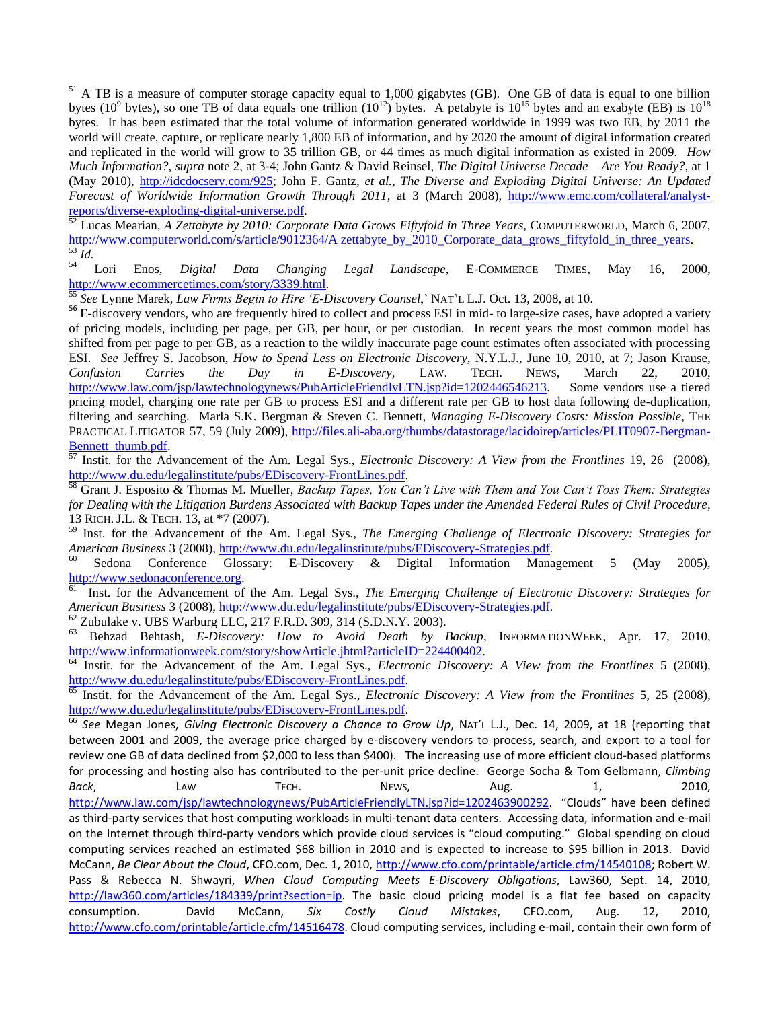<sup>51</sup> A TB is a measure of computer storage capacity equal to 1,000 gigabytes (GB). One GB of data is equal to one billion bytes (10<sup>9</sup> bytes), so one TB of data equals one trillion (10<sup>12</sup>) bytes. A petabyte is 10<sup>15</sup> bytes and an exabyte (EB) is 10<sup>18</sup> bytes. It has been estimated that the total volume of information generated worldwide in 1999 was two EB, by 2011 the world will create, capture, or replicate nearly 1,800 EB of information, and by 2020 the amount of digital information created and replicated in the world will grow to 35 trillion GB, or 44 times as much digital information as existed in 2009. *How Much Information?*, *supra* note 2, at 3-4; John Gantz & David Reinsel, *The Digital Universe Decade – Are You Ready?*, at 1 (May 2010), [http://idcdocserv.com/925;](http://idcdocserv.com/925) John F. Gantz, *et al.*, *The Diverse and Exploding Digital Universe: An Updated Forecast of Worldwide Information Growth Through 2011*, at 3 (March 2008), [http://www.emc.com/collateral/analyst](http://www.emc.com/collateral/analyst-reports/diverse-exploding-digital-universe.pdf)[reports/diverse-exploding-digital-universe.pdf.](http://www.emc.com/collateral/analyst-reports/diverse-exploding-digital-universe.pdf)

<sup>52</sup> Lucas Mearian, *A Zettabyte by 2010: Corporate Data Grows Fiftyfold in Three Years*, COMPUTERWORLD, March 6, 2007, [http://www.computerworld.com/s/article/9012364/A zettabyte\\_by\\_2010\\_Corporate\\_data\\_grows\\_fiftyfold\\_in\\_three\\_years.](http://www.computerworld.com/s/article/9012364/A%20zettabyte_by_2010_Corporate_data_grows_fiftyfold_in_three_years)  $rac{53}{54}$ *Id.* 

<sup>54</sup> Lori Enos, *Digital Data Changing Legal Landscape*, E-COMMERCE TIMES, May 16, 2000, [http://www.ecommercetimes.com/story/3339.html.](http://www.ecommercetimes.com/story/3339.html)

<sup>55</sup> *See* Lynne Marek, *Law Firms Begin to Hire ‗E-Discovery Counsel*,' NAT'L L.J. Oct. 13, 2008, at 10.

<sup>56</sup> E-discovery vendors, who are frequently hired to collect and process ESI in mid- to large-size cases, have adopted a variety of pricing models, including per page, per GB, per hour, or per custodian. In recent years the most common model has shifted from per page to per GB, as a reaction to the wildly inaccurate page count estimates often associated with processing ESI. *See* Jeffrey S. Jacobson, *How to Spend Less on Electronic Discovery*, N.Y.L.J., June 10, 2010, at 7; Jason Krause, *Confusion Carries the Day in E-Discovery*, LAW. TECH. NEWS, March 22, 2010, [http://www.law.com/jsp/lawtechnologynews/PubArticleFriendlyLTN.jsp?id=1202446546213.](http://www.law.com/jsp/lawtechnologynews/PubArticleFriendlyLTN.jsp?id=1202446546213) Some vendors use a tiered pricing model, charging one rate per GB to process ESI and a different rate per GB to host data following de-duplication, filtering and searching. Marla S.K. Bergman & Steven C. Bennett, *Managing E-Discovery Costs: Mission Possible*, THE PRACTICAL LITIGATOR 57, 59 (July 2009), [http://files.ali-aba.org/thumbs/datastorage/lacidoirep/articles/PLIT0907-Bergman-](http://files.ali-aba.org/thumbs/datastorage/lacidoirep/articles/PLIT0907-Bergman-Bennett_thumb.pdf)[Bennett\\_thumb.pdf.](http://files.ali-aba.org/thumbs/datastorage/lacidoirep/articles/PLIT0907-Bergman-Bennett_thumb.pdf)

<sup>57</sup> Instit. for the Advancement of the Am. Legal Sys., *Electronic Discovery: A View from the Frontlines* 19, 26 (2008), [http://www.du.edu/legalinstitute/pubs/EDiscovery-FrontLines.pdf.](http://www.du.edu/legalinstitute/pubs/EDiscovery-FrontLines.pdf)

<sup>58</sup> Grant J. Esposito & Thomas M. Mueller, *Backup Tapes, You Can't Live with Them and You Can't Toss Them: Strategies for Dealing with the Litigation Burdens Associated with Backup Tapes under the Amended Federal Rules of Civil Procedure*, 13 RICH. J.L. & TECH. 13, at \*7 (2007).

<sup>59</sup> Inst. for the Advancement of the Am. Legal Sys., *The Emerging Challenge of Electronic Discovery: Strategies for American Business* 3 (2008), [http://www.du.edu/legalinstitute/pubs/EDiscovery-Strategies.pdf.](http://www.du.edu/legalinstitute/pubs/EDiscovery-Strategies.pdf)

Sedona Conference Glossary: E-Discovery & Digital Information Management 5 (May 2005), [http://www.sedonaconference.org.](http://www.sedonaconference.org/)

61 Inst. for the Advancement of the Am. Legal Sys., *The Emerging Challenge of Electronic Discovery: Strategies for American Business* 3 (2008), [http://www.du.edu/legalinstitute/pubs/EDiscovery-Strategies.pdf.](http://www.du.edu/legalinstitute/pubs/EDiscovery-Strategies.pdf)

<sup>62</sup> Zubulake v. UBS Warburg LLC, 217 F.R.D. 309, 314 (S.D.N.Y. 2003).<br><sup>63</sup> Behzad, Behtash *F. Discovery:* How to Avoid Death by the

<sup>63</sup> Behzad Behtash, *E-Discovery: How to Avoid Death by Backup*, INFORMATIONWEEK, Apr. 17, 2010, [http://www.informationweek.com/story/showArticle.jhtml?articleID=224400402.](http://www.informationweek.com/story/showArticle.jhtml?articleID=224400402)

<sup>64</sup> Instit. for the Advancement of the Am. Legal Sys., *Electronic Discovery: A View from the Frontlines* 5 (2008), [http://www.du.edu/legalinstitute/pubs/EDiscovery-FrontLines.pdf.](http://www.du.edu/legalinstitute/pubs/EDiscovery-FrontLines.pdf)<br>
S Instit for the Advancement of the Am Legal Sys. *Electron* 

Instit. for the Advancement of the Am. Legal Sys., *Electronic Discovery: A View from the Frontlines* 5, 25 (2008), [http://www.du.edu/legalinstitute/pubs/EDiscovery-FrontLines.pdf.](http://www.du.edu/legalinstitute/pubs/EDiscovery-FrontLines.pdf)

<sup>66</sup> *See* Megan Jones, *Giving Electronic Discovery a Chance to Grow Up*, NAT'L L.J., Dec. 14, 2009, at 18 (reporting that between 2001 and 2009, the average price charged by e-discovery vendors to process, search, and export to a tool for review one GB of data declined from \$2,000 to less than \$400). The increasing use of more efficient cloud-based platforms for processing and hosting also has contributed to the per-unit price decline. George Socha & Tom Gelbmann, *Climbing Back*, **LAW TECH.** NEWS, Aug. 1, 2010, <http://www.law.com/jsp/lawtechnologynews/PubArticleFriendlyLTN.jsp?id=1202463900292>. "Clouds" have been defined as third-party services that host computing workloads in multi-tenant data centers. Accessing data, information and e-mail on the Internet through third-party vendors which provide cloud services is "cloud computing." Global spending on cloud computing services reached an estimated \$68 billion in 2010 and is expected to increase to \$95 billion in 2013. David McCann, *Be Clear About the Cloud*, CFO.com, Dec. 1, 2010, [http://www.cfo.com/printable/article.cfm/14540108;](http://www.cfo.com/printable/article.cfm/14540108) Robert W. Pass & Rebecca N. Shwayri, *When Cloud Computing Meets E-Discovery Obligations*, Law360, Sept. 14, 2010, [http://law360.com/articles/184339/print?section=ip.](http://law360.com/articles/184339/print?section=ip) The basic cloud pricing model is a flat fee based on capacity consumption. David McCann, *Six Costly Cloud Mistakes*, CFO.com, Aug. 12, 2010, [http://www.cfo.com/printable/article.cfm/14516478.](http://www.cfo.com/printable/article.cfm/14516478) Cloud computing services, including e-mail, contain their own form of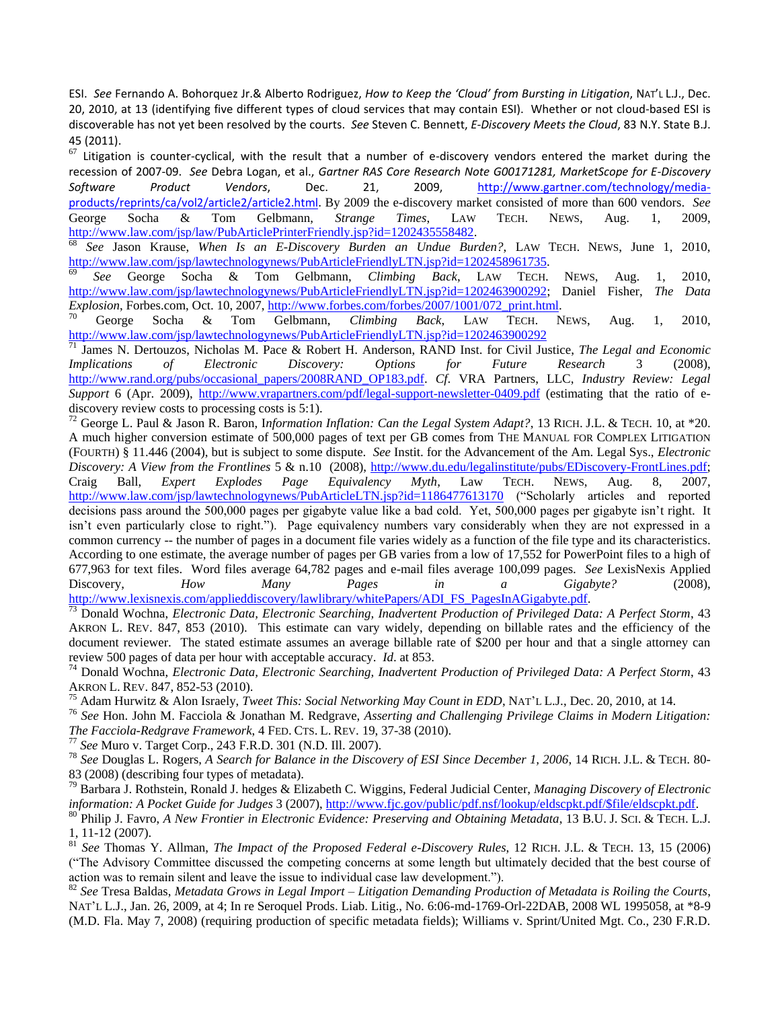ESI. *See* Fernando A. Bohorquez Jr.& Alberto Rodriguez, *How to Keep the 'Cloud' from Bursting in Litigation*, NAT'L L.J., Dec. 20, 2010, at 13 (identifying five different types of cloud services that may contain ESI). Whether or not cloud-based ESI is discoverable has not yet been resolved by the courts. *See* Steven C. Bennett, *E-Discovery Meets the Cloud*, 83 N.Y. State B.J. 45 (2011).

 $67$  Litigation is counter-cyclical, with the result that a number of e-discovery vendors entered the market during the recession of 2007-09. *See* Debra Logan, et al., *Gartner RAS Core Research Note G00171281, MarketScope for E-Discovery Software Product Vendors*, Dec. 21, 2009, [http://www.gartner.com/technology/media](http://www.gartner.com/technology/media-products/reprints/ca/vol2/article2/article2.html)[products/reprints/ca/vol2/article2/article2.html.](http://www.gartner.com/technology/media-products/reprints/ca/vol2/article2/article2.html) By 2009 the e-discovery market consisted of more than 600 vendors. *See* George Socha & Tom Gelbmann, *Strange Times*, LAW TECH. NEWS, Aug. 1, 2009, [http://www.law.com/jsp/law/PubArticlePrinterFriendly.jsp?id=1202435558482.](http://www.law.com/jsp/law/PubArticlePrinterFriendly.jsp?id=1202435558482)

<sup>68</sup> *See* Jason Krause, *When Is an E-Discovery Burden an Undue Burden?*, LAW TECH. NEWS, June 1, 2010, [http://www.law.com/jsp/lawtechnologynews/PubArticleFriendlyLTN.jsp?id=1202458961735.](http://www.law.com/jsp/lawtechnologynews/PubArticleFriendlyLTN.jsp?id=1202458961735) 

<sup>69</sup> *See* George Socha & Tom Gelbmann, *Climbing Back*, LAW TECH. NEWS, Aug. 1, 2010, [http://www.law.com/jsp/lawtechnologynews/PubArticleFriendlyLTN.jsp?id=1202463900292;](http://www.law.com/jsp/lawtechnologynews/PubArticleFriendlyLTN.jsp?id=1202463900292) Daniel Fisher, *The Data Explosion*, Forbes.com, Oct. 10, 2007, [http://www.forbes.com/forbes/2007/1001/072\\_print.html.](http://www.forbes.com/forbes/2007/1001/072_print.html)

<sup>70</sup> George Socha & Tom Gelbmann, *Climbing Back*, LAW TECH. NEWS, Aug. 1, 2010, <http://www.law.com/jsp/lawtechnologynews/PubArticleFriendlyLTN.jsp?id=1202463900292>

<sup>71</sup> James N. Dertouzos, Nicholas M. Pace & Robert H. Anderson, RAND Inst. for Civil Justice, *The Legal and Economic Implications of Electronic Discovery: Options for Future Research* 3 (2008), [http://www.rand.org/pubs/occasional\\_papers/2008RAND\\_OP183.pdf.](http://www.rand.org/pubs/occasional_papers/2008RAND_OP183.pdf) *Cf*. VRA Partners, LLC, *Industry Review: Legal Support* 6 (Apr. 2009),<http://www.vrapartners.com/pdf/legal-support-newsletter-0409.pdf> (estimating that the ratio of ediscovery review costs to processing costs is 5:1).

<sup>72</sup> George L. Paul & Jason R. Baron, I*nformation Inflation: Can the Legal System Adapt?*, 13 RICH. J.L. & TECH. 10, at \*20. A much higher conversion estimate of 500,000 pages of text per GB comes from THE MANUAL FOR COMPLEX LITIGATION (FOURTH) § 11.446 (2004), but is subject to some dispute. *See* Instit. for the Advancement of the Am. Legal Sys., *Electronic Discovery: A View from the Frontlines* 5 & n.10 (2008), [http://www.du.edu/legalinstitute/pubs/EDiscovery-FrontLines.pdf;](http://www.du.edu/legalinstitute/pubs/EDiscovery-FrontLines.pdf) Craig Ball, *Expert Explodes Page Equivalency Myth*, Law TECH. NEWS, Aug. 8, 2007, <http://www.law.com/jsp/lawtechnologynews/PubArticleLTN.jsp?id=1186477613170> ("Scholarly articles and reported decisions pass around the 500,000 pages per gigabyte value like a bad cold. Yet, 500,000 pages per gigabyte isn't right. It isn't even particularly close to right."). Page equivalency numbers vary considerably when they are not expressed in a common currency -- the number of pages in a document file varies widely as a function of the file type and its characteristics. According to one estimate, the average number of pages per GB varies from a low of 17,552 for PowerPoint files to a high of 677,963 for text files. Word files average 64,782 pages and e-mail files average 100,099 pages. *See* LexisNexis Applied Discovery, *How Many Pages in a Gigabyte?* (2008), http://www.lexisnexis.com/applieddiscovery/lawlibrary/whitePapers/ADI\_FS\_PagesInAGigabyte.pdf.

<sup>73</sup> Donald Wochna, *Electronic Data, Electronic Searching, Inadvertent Production of Privileged Data: A Perfect Storm*, 43 AKRON L. REV. 847, 853 (2010). This estimate can vary widely, depending on billable rates and the efficiency of the document reviewer. The stated estimate assumes an average billable rate of \$200 per hour and that a single attorney can review 500 pages of data per hour with acceptable accuracy. *Id*. at 853.

<sup>74</sup> Donald Wochna, *Electronic Data, Electronic Searching, Inadvertent Production of Privileged Data: A Perfect Storm*, 43 AKRON L. REV. 847, 852-53 (2010).

<sup>75</sup> Adam Hurwitz & Alon Israely, *Tweet This: Social Networking May Count in EDD*, NAT'L L.J., Dec. 20, 2010, at 14.

<sup>76</sup> *See* Hon. John M. Facciola & Jonathan M. Redgrave, *Asserting and Challenging Privilege Claims in Modern Litigation: The Facciola-Redgrave Framework*, 4 FED. CTS. L. REV. 19, 37-38 (2010).

<sup>77</sup> *See* Muro v. Target Corp., 243 F.R.D. 301 (N.D. Ill. 2007).

<sup>78</sup> *See* Douglas L. Rogers, *A Search for Balance in the Discovery of ESI Since December 1, 2006*, 14 RICH. J.L. & TECH. 80- 83 (2008) (describing four types of metadata).

<sup>79</sup> Barbara J. Rothstein, Ronald J. hedges & Elizabeth C. Wiggins, Federal Judicial Center, *Managing Discovery of Electronic information: A Pocket Guide for Judges* 3 (2007), [http://www.fjc.gov/public/pdf.nsf/lookup/eldscpkt.pdf/\\$file/eldscpkt.pdf.](http://www.fjc.gov/public/pdf.nsf/lookup/eldscpkt.pdf/$file/eldscpkt.pdf)

<sup>80</sup> Philip J. Favro, *A New Frontier in Electronic Evidence: Preserving and Obtaining Metadata*, 13 B.U. J. SCI. & TECH. L.J. 1, 11-12 (2007).

<sup>81</sup> *See* Thomas Y. Allman, *The Impact of the Proposed Federal e-Discovery Rules*, 12 RICH. J.L. & TECH. 13, 15 (2006) (―The Advisory Committee discussed the competing concerns at some length but ultimately decided that the best course of action was to remain silent and leave the issue to individual case law development.").

<sup>82</sup> *See* Tresa Baldas, *Metadata Grows in Legal Import – Litigation Demanding Production of Metadata is Roiling the Courts*, NAT'L L.J., Jan. 26, 2009, at 4; In re Seroquel Prods. Liab. Litig., No. 6:06-md-1769-Orl-22DAB, 2008 WL 1995058, at \*8-9 (M.D. Fla. May 7, 2008) (requiring production of specific metadata fields); Williams v. Sprint/United Mgt. Co., 230 F.R.D.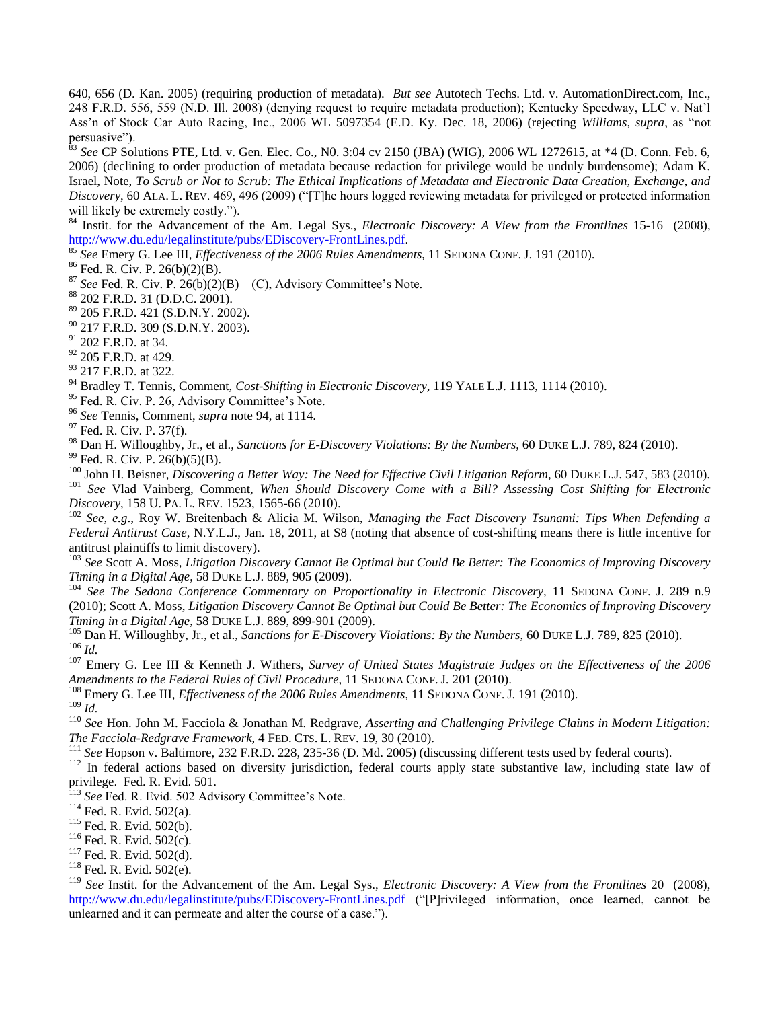640, 656 (D. Kan. 2005) (requiring production of metadata). *But see* Autotech Techs. Ltd. v. AutomationDirect.com, Inc., 248 F.R.D. 556, 559 (N.D. Ill. 2008) (denying request to require metadata production); Kentucky Speedway, LLC v. Nat'l Ass'n of Stock Car Auto Racing, Inc., 2006 WL 5097354 (E.D. Ky. Dec. 18, 2006) (rejecting *Williams, supra*, as "not persuasive").

<sup>83</sup> See CP Solutions PTE, Ltd. v. Gen. Elec. Co., N0. 3:04 cv 2150 (JBA) (WIG), 2006 WL 1272615, at \*4 (D. Conn. Feb. 6, 2006) (declining to order production of metadata because redaction for privilege would be unduly burdensome); Adam K. Israel, Note, *To Scrub or Not to Scrub: The Ethical Implications of Metadata and Electronic Data Creation, Exchange, and Discovery*, 60 ALA. L. REV. 469, 496 (2009) ("[T]he hours logged reviewing metadata for privileged or protected information will likely be extremely costly.").

<sup>84</sup> Instit. for the Advancement of the Am. Legal Sys., *Electronic Discovery: A View from the Frontlines* 15-16 (2008), [http://www.du.edu/legalinstitute/pubs/EDiscovery-FrontLines.pdf.](http://www.du.edu/legalinstitute/pubs/EDiscovery-FrontLines.pdf)

<sup>85</sup> *See* Emery G. Lee III, *Effectiveness of the 2006 Rules Amendments*, 11 SEDONA CONF. J. 191 (2010).

 $86$  Fed. R. Civ. P. 26(b)(2)(B).

 $87$  *See* Fed. R. Civ. P. 26(b)(2)(B) – (C), Advisory Committee's Note.

<sup>88</sup> 202 F.R.D. 31 (D.D.C. 2001).

<sup>89</sup> 205 F.R.D. 421 (S.D.N.Y. 2002).

<sup>90</sup> 217 F.R.D. 309 (S.D.N.Y. 2003).

<sup>91</sup> 202 F.R.D. at 34.

<sup>92</sup> 205 F.R.D. at 429.

<sup>93</sup> 217 F.R.D. at 322.

<sup>94</sup> Bradley T. Tennis, Comment, *Cost-Shifting in Electronic Discovery*, 119 YALE L.J. 1113, 1114 (2010).

<sup>95</sup> Fed. R. Civ. P. 26, Advisory Committee's Note.

<sup>96</sup> *See* Tennis, Comment, *supra* note 94, at 1114.

 $97$  Fed. R. Civ. P. 37(f).

<sup>98</sup> Dan H. Willoughby, Jr., et al., *Sanctions for E-Discovery Violations: By the Numbers*, 60 DUKE L.J. 789, 824 (2010).

 $99$  Fed. R. Civ. P. 26(b)(5)(B).

100 John H. Beisner, *Discovering a Better Way: The Need for Effective Civil Litigation Reform*, 60 DUKE L.J. 547, 583 (2010).

<sup>101</sup> *See* Vlad Vainberg, Comment, *When Should Discovery Come with a Bill? Assessing Cost Shifting for Electronic Discovery*, 158 U. PA. L. REV. 1523, 1565-66 (2010).

<sup>102</sup> *See*, *e.g*., Roy W. Breitenbach & Alicia M. Wilson, *Managing the Fact Discovery Tsunami: Tips When Defending a Federal Antitrust Case*, N.Y.L.J., Jan. 18, 2011, at S8 (noting that absence of cost-shifting means there is little incentive for antitrust plaintiffs to limit discovery).

<sup>103</sup> *See* Scott A. Moss, *Litigation Discovery Cannot Be Optimal but Could Be Better: The Economics of Improving Discovery Timing in a Digital Age*, 58 DUKE L.J. 889, 905 (2009).

<sup>104</sup> *See The Sedona Conference Commentary on Proportionality in Electronic Discovery,* 11 SEDONA CONF. J. 289 n.9 (2010); Scott A. Moss, *Litigation Discovery Cannot Be Optimal but Could Be Better: The Economics of Improving Discovery Timing in a Digital Age*, 58 DUKE L.J. 889, 899-901 (2009).

<sup>105</sup> Dan H. Willoughby, Jr., et al., *Sanctions for E-Discovery Violations: By the Numbers*, 60 DUKE L.J. 789, 825 (2010). <sup>106</sup> *Id.*

<sup>107</sup> Emery G. Lee III & Kenneth J. Withers, *Survey of United States Magistrate Judges on the Effectiveness of the 2006 Amendments to the Federal Rules of Civil Procedure*, 11 SEDONA CONF. J. 201 (2010).

<sup>108</sup> Emery G. Lee III, *Effectiveness of the 2006 Rules Amendments*, 11 SEDONA CONF. J. 191 (2010).

<sup>109</sup> *Id.*

<sup>110</sup> *See* Hon. John M. Facciola & Jonathan M. Redgrave, *Asserting and Challenging Privilege Claims in Modern Litigation: The Facciola-Redgrave Framework*, 4 FED. CTS. L. REV. 19, 30 (2010).

<sup>111</sup> *See* Hopson v. Baltimore, 232 F.R.D. 228, 235-36 (D. Md. 2005) (discussing different tests used by federal courts).

 $112$  In federal actions based on diversity jurisdiction, federal courts apply state substantive law, including state law of privilege. Fed. R. Evid. 501.

<sup>113</sup> *See* Fed. R. Evid. 502 Advisory Committee's Note.

<sup>114</sup> Fed. R. Evid. 502(a).

 $115$  Fed. R. Evid. 502(b).

 $116$  Fed. R. Evid. 502(c).

<sup>117</sup> Fed. R. Evid. 502(d).

<sup>118</sup> Fed. R. Evid. 502(e).

<sup>119</sup> *See* Instit. for the Advancement of the Am. Legal Sys., *Electronic Discovery: A View from the Frontlines* 20 (2008), <http://www.du.edu/legalinstitute/pubs/EDiscovery-FrontLines.pdf> ("[P]rivileged information, once learned, cannot be unlearned and it can permeate and alter the course of a case.").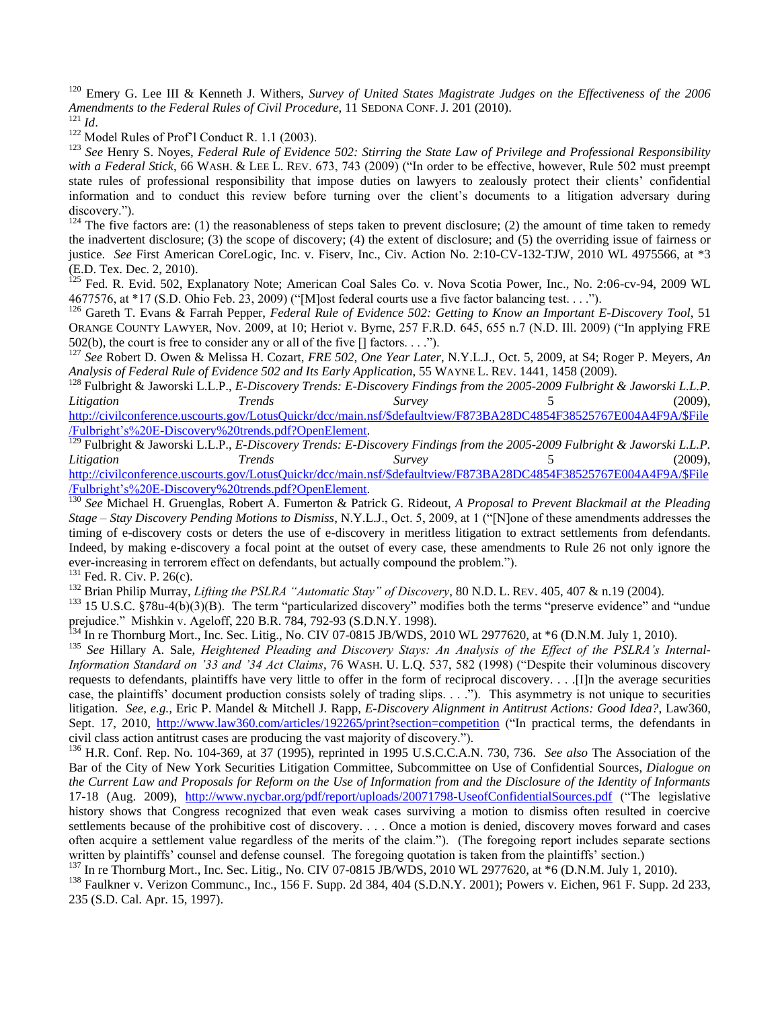<sup>120</sup> Emery G. Lee III & Kenneth J. Withers, *Survey of United States Magistrate Judges on the Effectiveness of the 2006 Amendments to the Federal Rules of Civil Procedure*, 11 SEDONA CONF. J. 201 (2010).  $121$  *Id.* 

<sup>122</sup> Model Rules of Prof'l Conduct R. 1.1 (2003).

<sup>123</sup> *See* Henry S. Noyes, *Federal Rule of Evidence 502: Stirring the State Law of Privilege and Professional Responsibility*  with a Federal Stick, 66 WASH. & LEE L. REV. 673, 743 (2009) ("In order to be effective, however, Rule 502 must preempt state rules of professional responsibility that impose duties on lawyers to zealously protect their clients' confidential information and to conduct this review before turning over the client's documents to a litigation adversary during discovery.").

 $124$  The five factors are: (1) the reasonableness of steps taken to prevent disclosure; (2) the amount of time taken to remedy the inadvertent disclosure; (3) the scope of discovery; (4) the extent of disclosure; and (5) the overriding issue of fairness or justice. *See* First American CoreLogic, Inc. v. Fiserv, Inc., Civ. Action No. 2:10-CV-132-TJW, 2010 WL 4975566, at \*3 (E.D. Tex. Dec. 2, 2010).

 $^{125}$  Fed. R. Evid. 502, Explanatory Note; American Coal Sales Co. v. Nova Scotia Power, Inc., No. 2:06-cv-94, 2009 WL  $4677576$ , at \*17 (S.D. Ohio Feb. 23, 2009) ("[M]ost federal courts use a five factor balancing test. . . .").

<sup>126</sup> Gareth T. Evans & Farrah Pepper, *Federal Rule of Evidence 502: Getting to Know an Important E-Discovery Tool*, 51 ORANGE COUNTY LAWYER, Nov. 2009, at 10; Heriot v. Byrne, 257 F.R.D. 645, 655 n.7 (N.D. Ill. 2009) ("In applying FRE 502(b), the court is free to consider any or all of the five  $[]$  factors. . . .").

<sup>127</sup> *See* Robert D. Owen & Melissa H. Cozart, *FRE 502, One Year Later*, N.Y.L.J., Oct. 5, 2009, at S4; Roger P. Meyers, *An Analysis of Federal Rule of Evidence 502 and Its Early Application*, 55 WAYNE L. REV. 1441, 1458 (2009).

<sup>128</sup> Fulbright & Jaworski L.L.P., *E-Discovery Trends: E-Discovery Findings from the 2005-2009 Fulbright & Jaworski L.L.P. Litigation Trends Survey* 5 (2009), [http://civilconference.uscourts.gov/LotusQuickr/dcc/main.nsf/\\$defaultview/F873BA28DC4854F38525767E004A4F9A/\\$File](http://civilconference.uscourts.gov/LotusQuickr/dcc/main.nsf/$defaultview/F873BA28DC4854F38525767E004A4F9A/$File/Fulbright)

[/Fulbright's%20E-Discovery%20trends.pdf?OpenElement.](http://civilconference.uscourts.gov/LotusQuickr/dcc/main.nsf/$defaultview/F873BA28DC4854F38525767E004A4F9A/$File/Fulbright)

<sup>129</sup> Fulbright & Jaworski L.L.P., *E-Discovery Trends: E-Discovery Findings from the 2005-2009 Fulbright & Jaworski L.L.P. Litigation Trends Survey* 5 (2009), [http://civilconference.uscourts.gov/LotusQuickr/dcc/main.nsf/\\$defaultview/F873BA28DC4854F38525767E004A4F9A/\\$File](http://civilconference.uscourts.gov/LotusQuickr/dcc/main.nsf/$defaultview/F873BA28DC4854F38525767E004A4F9A/$File/Fulbright) [/Fulbright's%20E-Discovery%20trends.pdf?OpenElement.](http://civilconference.uscourts.gov/LotusQuickr/dcc/main.nsf/$defaultview/F873BA28DC4854F38525767E004A4F9A/$File/Fulbright)

<sup>130</sup> *See* Michael H. Gruenglas, Robert A. Fumerton & Patrick G. Rideout, *A Proposal to Prevent Blackmail at the Pleading Stage – Stay Discovery Pending Motions to Dismiss, N.Y.L.J., Oct. 5, 2009, at 1 ("N]one of these amendments addresses the* timing of e-discovery costs or deters the use of e-discovery in meritless litigation to extract settlements from defendants. Indeed, by making e-discovery a focal point at the outset of every case, these amendments to Rule 26 not only ignore the ever-increasing in terrorem effect on defendants, but actually compound the problem.").

<sup>131</sup> Fed. R. Civ. P. 26(c).

<sup>132</sup> Brian Philip Murray, *Lifting the PSLRA "Automatic Stay" of Discovery*, 80 N.D. L. REV. 405, 407 & n.19 (2004).

 $133$  15 U.S.C. §78u-4(b)(3)(B). The term "particularized discovery" modifies both the terms "preserve evidence" and "undue prejudice.‖ Mishkin v. Ageloff, 220 B.R. 784, 792-93 (S.D.N.Y. 1998).

 $^{134}$  In re Thornburg Mort., Inc. Sec. Litig., No. CIV 07-0815 JB/WDS, 2010 WL 2977620, at \*6 (D.N.M. July 1, 2010).

<sup>135</sup> *See* Hillary A. Sale, *Heightened Pleading and Discovery Stays: An Analysis of the Effect of the PSLRA's Internal-Information Standard on '33 and '34 Act Claims*, 76 WASH. U. L.Q. 537, 582 (1998) ("Despite their voluminous discovery requests to defendants, plaintiffs have very little to offer in the form of reciprocal discovery. . . .[I]n the average securities case, the plaintiffs' document production consists solely of trading slips. . . ."). This asymmetry is not unique to securities litigation. *See*, *e.g.,* Eric P. Mandel & Mitchell J. Rapp, *E-Discovery Alignment in Antitrust Actions: Good Idea?*, Law360, Sept. 17, 2010, <http://www.law360.com/articles/192265/print?section=competition> ("In practical terms, the defendants in civil class action antitrust cases are producing the vast majority of discovery.").

<sup>136</sup> H.R. Conf. Rep. No. 104-369, at 37 (1995), reprinted in 1995 U.S.C.C.A.N. 730, 736. *See also* The Association of the Bar of the City of New York Securities Litigation Committee, Subcommittee on Use of Confidential Sources, *Dialogue on the Current Law and Proposals for Reform on the Use of Information from and the Disclosure of the Identity of Informants* 17-18 (Aug. 2009), <http://www.nycbar.org/pdf/report/uploads/20071798-UseofConfidentialSources.pdf> ("The legislative history shows that Congress recognized that even weak cases surviving a motion to dismiss often resulted in coercive settlements because of the prohibitive cost of discovery. . . . Once a motion is denied, discovery moves forward and cases often acquire a settlement value regardless of the merits of the claim."). (The foregoing report includes separate sections written by plaintiffs' counsel and defense counsel. The foregoing quotation is taken from the plaintiffs' section.)

 $^{137}$  In re Thornburg Mort., Inc. Sec. Litig., No. CIV 07-0815 JB/WDS, 2010 WL 2977620, at  $*6$  (D.N.M. July 1, 2010).

<sup>138</sup> Faulkner v. Verizon Communc., Inc., 156 F. Supp. 2d 384, 404 (S.D.N.Y. 2001); Powers v. Eichen, 961 F. Supp. 2d 233, 235 (S.D. Cal. Apr. 15, 1997).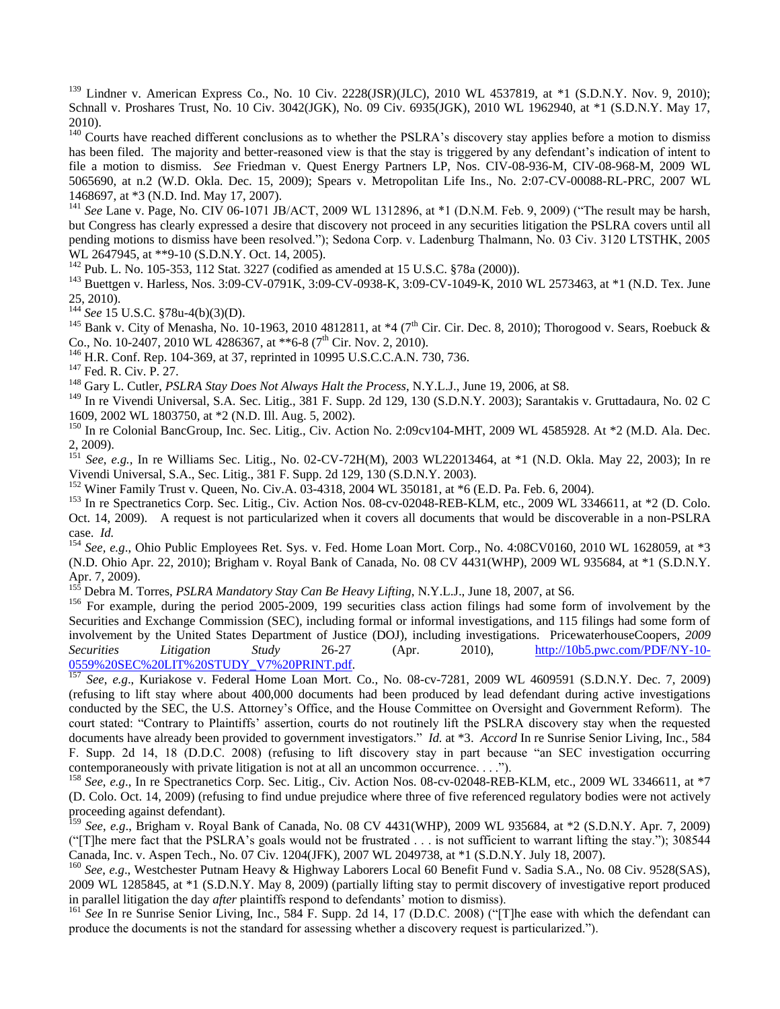$139$  Lindner v. American Express Co., No. 10 Civ. 2228(JSR)(JLC), 2010 WL 4537819, at \*1 (S.D.N.Y. Nov. 9, 2010); Schnall v. Proshares Trust, No. 10 Civ. 3042(JGK), No. 09 Civ. 6935(JGK), 2010 WL 1962940, at \*1 (S.D.N.Y. May 17, 2010).

 $140$  Courts have reached different conclusions as to whether the PSLRA's discovery stay applies before a motion to dismiss has been filed. The majority and better-reasoned view is that the stay is triggered by any defendant's indication of intent to file a motion to dismiss. *See* Friedman v. Quest Energy Partners LP, Nos. CIV-08-936-M, CIV-08-968-M, 2009 WL 5065690, at n.2 (W.D. Okla. Dec. 15, 2009); Spears v. Metropolitan Life Ins., No. 2:07-CV-00088-RL-PRC, 2007 WL 1468697, at \*3 (N.D. Ind. May 17, 2007).

<sup>141</sup> See Lane v. Page, No. CIV 06-1071 JB/ACT, 2009 WL 1312896, at \*1 (D.N.M. Feb. 9, 2009) ("The result may be harsh, but Congress has clearly expressed a desire that discovery not proceed in any securities litigation the PSLRA covers until all pending motions to dismiss have been resolved."); Sedona Corp. v. Ladenburg Thalmann, No. 03 Civ. 3120 LTSTHK, 2005 WL 2647945, at \*\*9-10 (S.D.N.Y. Oct. 14, 2005).

<sup>142</sup> Pub. L. No. 105-353, 112 Stat. 3227 (codified as amended at 15 U.S.C. §78a (2000)).

<sup>143</sup> Buettgen v. Harless, Nos. 3:09-CV-0791K, 3:09-CV-0938-K, 3:09-CV-1049-K, 2010 WL 2573463, at \*1 (N.D. Tex. June 25, 2010).

<sup>144</sup> *See* 15 U.S.C. §78u-4(b)(3)(D).

<sup>145</sup> Bank v. City of Menasha, No. 10-1963, 2010 4812811, at  $*4$  (7<sup>th</sup> Cir. Cir. Dec. 8, 2010); Thorogood v. Sears, Roebuck & Co., No. 10-2407, 2010 WL 4286367, at \*\*6-8 (7<sup>th</sup> Cir. Nov. 2, 2010).

<sup>146</sup> H.R. Conf. Rep. 104-369, at 37, reprinted in 10995 U.S.C.C.A.N. 730, 736.

<sup>147</sup> Fed. R. Civ. P. 27.

<sup>148</sup> Gary L. Cutler, *PSLRA Stay Does Not Always Halt the Process*, N.Y.L.J., June 19, 2006, at S8.

<sup>149</sup> In re Vivendi Universal, S.A. Sec. Litig., 381 F. Supp. 2d 129, 130 (S.D.N.Y. 2003); Sarantakis v. Gruttadaura, No. 02 C 1609, 2002 WL 1803750, at \*2 (N.D. Ill. Aug. 5, 2002).

 $^{150}$  In re Colonial BancGroup, Inc. Sec. Litig., Civ. Action No. 2:09cv104-MHT, 2009 WL 4585928. At  $*2$  (M.D. Ala. Dec. 2, 2009).

<sup>151</sup> *See*, *e.g.,* In re Williams Sec. Litig., No. 02-CV-72H(M), 2003 WL22013464, at \*1 (N.D. Okla. May 22, 2003); In re Vivendi Universal, S.A., Sec. Litig., 381 F. Supp. 2d 129, 130 (S.D.N.Y. 2003).

<sup>152</sup> Winer Family Trust v. Queen, No. Civ.A. 03-4318, 2004 WL 350181, at \*6 (E.D. Pa. Feb. 6, 2004).

<sup>153</sup> In re Spectranetics Corp. Sec. Litig., Civ. Action Nos. 08-cv-02048-REB-KLM, etc., 2009 WL 3346611, at \*2 (D. Colo. Oct. 14, 2009). A request is not particularized when it covers all documents that would be discoverable in a non-PSLRA case. *Id.*

<sup>154</sup> *See, e.g*., Ohio Public Employees Ret. Sys. v. Fed. Home Loan Mort. Corp., No. 4:08CV0160, 2010 WL 1628059, at \*3 (N.D. Ohio Apr. 22, 2010); Brigham v. Royal Bank of Canada, No. 08 CV 4431(WHP), 2009 WL 935684, at \*1 (S.D.N.Y. Apr. 7, 2009).

<sup>155</sup> Debra M. Torres, *PSLRA Mandatory Stay Can Be Heavy Lifting*, N.Y.L.J., June 18, 2007, at S6.

<sup>156</sup> For example, during the period 2005-2009, 199 securities class action filings had some form of involvement by the Securities and Exchange Commission (SEC), including formal or informal investigations, and 115 filings had some form of involvement by the United States Department of Justice (DOJ), including investigations. PricewaterhouseCoopers, *2009 Securities Litigation Study* 26-27 (Apr. 2010), [http://10b5.pwc.com/PDF/NY-10-](http://10b5.pwc.com/PDF/NY-10-0559%20SEC%20LIT%20STUDY_V7%20PRINT.pdf) [0559%20SEC%20LIT%20STUDY\\_V7%20PRINT.pdf.](http://10b5.pwc.com/PDF/NY-10-0559%20SEC%20LIT%20STUDY_V7%20PRINT.pdf)

<sup>157</sup> *See*, *e.g*., Kuriakose v. Federal Home Loan Mort. Co., No. 08-cv-7281, 2009 WL 4609591 (S.D.N.Y. Dec. 7, 2009) (refusing to lift stay where about 400,000 documents had been produced by lead defendant during active investigations conducted by the SEC, the U.S. Attorney's Office, and the House Committee on Oversight and Government Reform). The court stated: "Contrary to Plaintiffs' assertion, courts do not routinely lift the PSLRA discovery stay when the requested documents have already been provided to government investigators." *Id.* at \*3. *Accord* In re Sunrise Senior Living, Inc., 584 F. Supp. 2d 14, 18 (D.D.C. 2008) (refusing to lift discovery stay in part because "an SEC investigation occurring contemporaneously with private litigation is not at all an uncommon occurrence. . . .").

<sup>158</sup> See, e.g., In re Spectranetics Corp. Sec. Litig., Civ. Action Nos. 08-cv-02048-REB-KLM, etc., 2009 WL 3346611, at \*7 (D. Colo. Oct. 14, 2009) (refusing to find undue prejudice where three of five referenced regulatory bodies were not actively proceeding against defendant).

<sup>159</sup> *See*, *e.g*., Brigham v. Royal Bank of Canada, No. 08 CV 4431(WHP), 2009 WL 935684, at \*2 (S.D.N.Y. Apr. 7, 2009) ("[T]he mere fact that the PSLRA's goals would not be frustrated . . . is not sufficient to warrant lifting the stay."); 308544 Canada, Inc. v. Aspen Tech., No. 07 Civ. 1204(JFK), 2007 WL 2049738, at \*1 (S.D.N.Y. July 18, 2007).

<sup>160</sup> *See*, *e.g*., Westchester Putnam Heavy & Highway Laborers Local 60 Benefit Fund v. Sadia S.A., No. 08 Civ. 9528(SAS), 2009 WL 1285845, at \*1 (S.D.N.Y. May 8, 2009) (partially lifting stay to permit discovery of investigative report produced in parallel litigation the day *after* plaintiffs respond to defendants' motion to dismiss).

 $^{161}$  *See* In re Sunrise Senior Living, Inc., 584 F. Supp. 2d 14, 17 (D.D.C. 2008) ( $^{16}$ T] he ease with which the defendant can produce the documents is not the standard for assessing whether a discovery request is particularized.‖).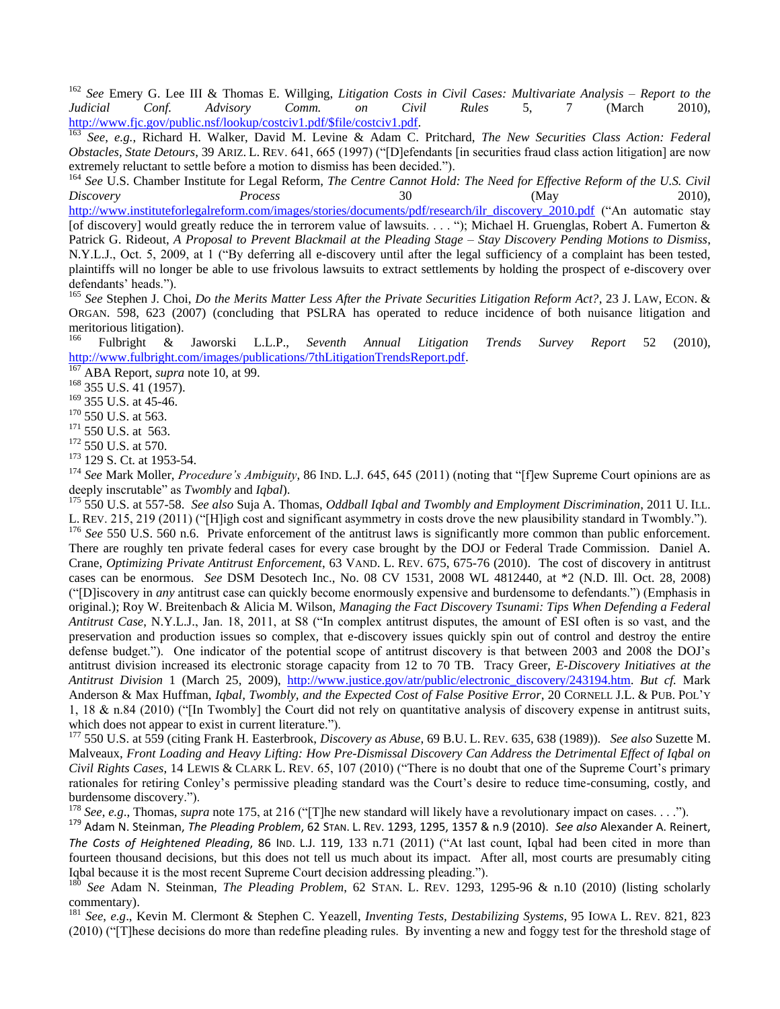<sup>162</sup> *See* Emery G. Lee III & Thomas E. Willging, *Litigation Costs in Civil Cases: Multivariate Analysis* – *Report to the Judicial Conf. Advisory Comm. on Civil Rules* 5, 7 (March 2010), [http://www.fjc.gov/public.nsf/lookup/costciv1.pdf/\\$file/costciv1.pdf.](http://www.fjc.gov/public.nsf/lookup/costciv1.pdf/$file/costciv1.pdf)

<sup>163</sup> *See*, *e.g.*, Richard H. Walker, David M. Levine & Adam C. Pritchard, *The New Securities Class Action: Federal Obstacles, State Detours*, 39 ARIZ. L. REV. 641, 665 (1997) ("[D]efendants [in securities fraud class action litigation] are now extremely reluctant to settle before a motion to dismiss has been decided.").

<sup>164</sup> See U.S. Chamber Institute for Legal Reform, *The Centre Cannot Hold: The Need for Effective Reform of the U.S. Civil Discovery Process* 30 (May 2010), [http://www.instituteforlegalreform.com/images/stories/documents/pdf/research/ilr\\_discovery\\_2010.pdf](http://www.instituteforlegalreform.com/images/stories/documents/pdf/research/ilr_discovery_2010.pdf) ("An automatic stay [of discovery] would greatly reduce the in terrorem value of lawsuits. . . . "); Michael H. Gruenglas, Robert A. Fumerton & Patrick G. Rideout, *A Proposal to Prevent Blackmail at the Pleading Stage – Stay Discovery Pending Motions to Dismiss*, N.Y.L.J., Oct. 5, 2009, at 1 ("By deferring all e-discovery until after the legal sufficiency of a complaint has been tested, plaintiffs will no longer be able to use frivolous lawsuits to extract settlements by holding the prospect of e-discovery over defendants' heads.").

<sup>165</sup> *See* Stephen J. Choi, *Do the Merits Matter Less After the Private Securities Litigation Reform Act?*, 23 J. LAW, ECON. & ORGAN. 598, 623 (2007) (concluding that PSLRA has operated to reduce incidence of both nuisance litigation and meritorious litigation).<br> $^{166}$  Eultricht  $^{8}$ 

<sup>166</sup> Fulbright & Jaworski L.L.P., *Seventh Annual Litigation Trends Survey Report* 52 (2010), <http://www.fulbright.com/images/publications/7thLitigationTrendsReport.pdf>.

<sup>7</sup> ABA Report, *supra* note 10, at 99.

<sup>168</sup> 355 U.S. 41 (1957).

<sup>169</sup> 355 U.S. at 45-46.

<sup>170</sup> 550 U.S. at 563.

 $171$  550 U.S. at 563.

<sup>172</sup> 550 U.S. at 570.

<sup>173</sup> 129 S. Ct. at 1953-54.

<sup>174</sup> See Mark Moller, *Procedure's Ambiguity*, 86 IND. L.J. 645, 645 (2011) (noting that "[f]ew Supreme Court opinions are as deeply inscrutable" as *Twombly* and *Iqbal*).

<sup>175</sup> 550 U.S. at 557-58. *See also* Suja A. Thomas, *Oddball Iqbal and Twombly and Employment Discrimination*, 2011 U. ILL. L. REV. 215, 219 (2011) ("[H]igh cost and significant asymmetry in costs drove the new plausibility standard in Twombly."). <sup>176</sup> See 550 U.S. 560 n.6. Private enforcement of the antitrust laws is significantly more common than public enforcement.

There are roughly ten private federal cases for every case brought by the DOJ or Federal Trade Commission. Daniel A. Crane, *Optimizing Private Antitrust Enforcement*, 63 VAND. L. REV. 675, 675-76 (2010). The cost of discovery in antitrust cases can be enormous. *See* DSM Desotech Inc., No. 08 CV 1531, 2008 WL 4812440, at \*2 (N.D. Ill. Oct. 28, 2008) (―[D]iscovery in *any* antitrust case can quickly become enormously expensive and burdensome to defendants.‖) (Emphasis in original.); Roy W. Breitenbach & Alicia M. Wilson, *Managing the Fact Discovery Tsunami: Tips When Defending a Federal Antitrust Case*, N.Y.L.J., Jan. 18, 2011, at S8 ("In complex antitrust disputes, the amount of ESI often is so vast, and the preservation and production issues so complex, that e-discovery issues quickly spin out of control and destroy the entire defense budget."). One indicator of the potential scope of antitrust discovery is that between 2003 and 2008 the DOJ's antitrust division increased its electronic storage capacity from 12 to 70 TB. Tracy Greer, *E-Discovery Initiatives at the Antitrust Division* 1 (March 25, 2009), [http://www.justice.gov/atr/public/electronic\\_discovery/243194.htm.](http://www.justice.gov/atr/public/electronic_discovery/243194.htm) *But cf.* Mark Anderson & Max Huffman, *Iqbal, Twombly, and the Expected Cost of False Positive Error*, 20 CORNELL J.L. & PUB. POL'Y 1, 18  $\&$  n.84 (2010) ("[In Twombly] the Court did not rely on quantitative analysis of discovery expense in antitrust suits, which does not appear to exist in current literature.").

<sup>177</sup> 550 U.S. at 559 (citing Frank H. Easterbrook, *Discovery as Abuse*, 69 B.U. L. REV. 635, 638 (1989)). *See also* Suzette M. Malveaux, *Front Loading and Heavy Lifting: How Pre-Dismissal Discovery Can Address the Detrimental Effect of Iqbal on Civil Rights Cases*, 14 LEWIS & CLARK L. REV. 65, 107 (2010) ("There is no doubt that one of the Supreme Court's primary rationales for retiring Conley's permissive pleading standard was the Court's desire to reduce time-consuming, costly, and burdensome discovery.").

<sup>178</sup> *See*, *e.g.*, Thomas, *supra* note 175, at 216 ("[T]he new standard will likely have a revolutionary impact on cases. . . .").

<sup>179</sup> Adam N. Steinman, *The Pleading Problem*, 62 STAN. L. REV. 1293, 1295, 1357 & n.9 (2010). *See also* Alexander A. Reinert, *The Costs of Heightened Pleading*, 86 Inp. L.J. 119, 133 n.71 (2011) ("At last count, Igbal had been cited in more than fourteen thousand decisions, but this does not tell us much about its impact. After all, most courts are presumably citing Iqbal because it is the most recent Supreme Court decision addressing pleading.").

<sup>180</sup> *See* Adam N. Steinman, *The Pleading Problem*, 62 STAN. L. REV. 1293, 1295-96 & n.10 (2010) (listing scholarly commentary).

<sup>181</sup> *See*, *e.g*., Kevin M. Clermont & Stephen C. Yeazell, *Inventing Tests, Destabilizing Systems*, 95 IOWA L. REV. 821, 823  $(2010)$  ("These decisions do more than redefine pleading rules. By inventing a new and foggy test for the threshold stage of